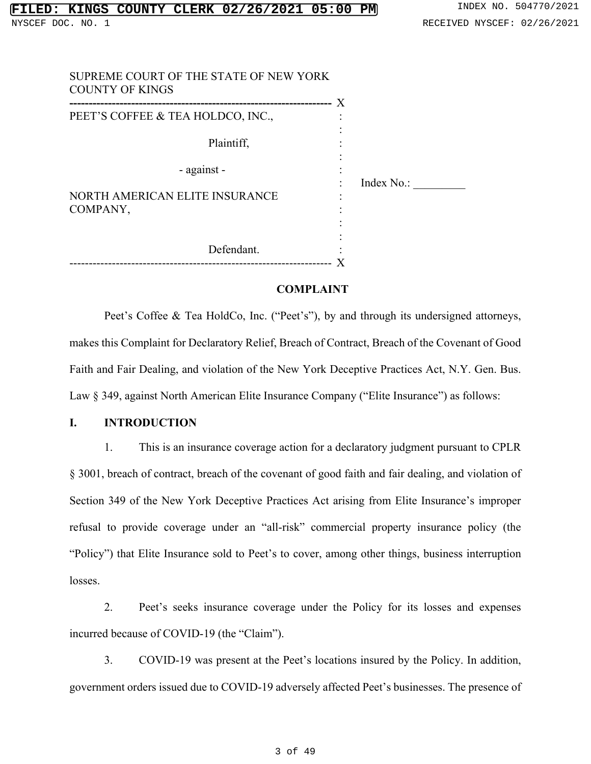|                                                     | $\mathbf x$ |
|-----------------------------------------------------|-------------|
| PEET'S COFFEE & TEA HOLDCO, INC.,                   |             |
| Plaintiff,                                          |             |
| - against -                                         |             |
| NORTH AMERICAN ELITE INSURANCE                      | Index No.:  |
| COMPANY,                                            |             |
| Defendant.                                          |             |
| -------------------<br>---------------------------- |             |

#### **COMPLAINT**

Peet's Coffee & Tea HoldCo, Inc. ("Peet's"), by and through its undersigned attorneys, makes this Complaint for Declaratory Relief, Breach of Contract, Breach of the Covenant of Good Faith and Fair Dealing, and violation of the New York Deceptive Practices Act, N.Y. Gen. Bus. Law § 349, against North American Elite Insurance Company ("Elite Insurance") as follows:

#### **I. INTRODUCTION**

1. This is an insurance coverage action for a declaratory judgment pursuant to CPLR § 3001, breach of contract, breach of the covenant of good faith and fair dealing, and violation of Section 349 of the New York Deceptive Practices Act arising from Elite Insurance's improper refusal to provide coverage under an "all-risk" commercial property insurance policy (the "Policy") that Elite Insurance sold to Peet's to cover, among other things, business interruption losses.

2. Peet's seeks insurance coverage under the Policy for its losses and expenses incurred because of COVID-19 (the "Claim").

3. COVID-19 was present at the Peet's locations insured by the Policy. In addition, government orders issued due to COVID-19 adversely affected Peet's businesses. The presence of

#### 3 of 49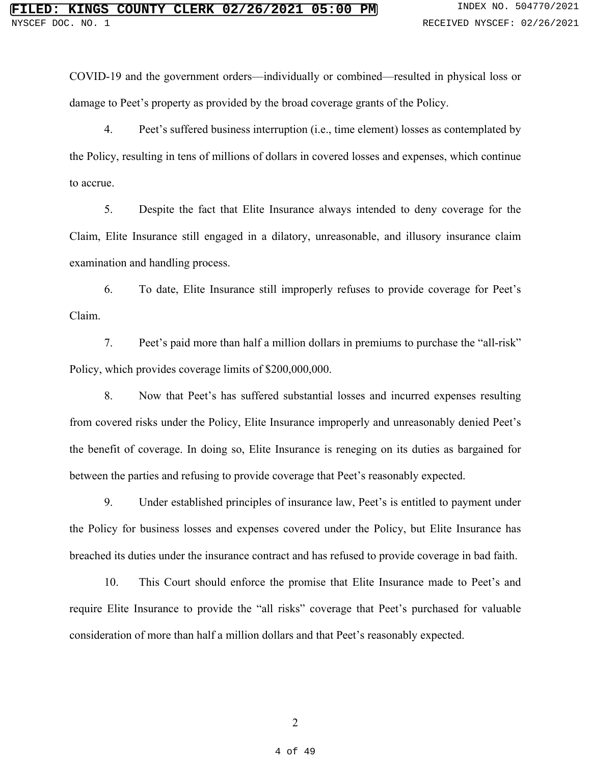COVID-19 and the government orders––individually or combined––resulted in physical loss or damage to Peet's property as provided by the broad coverage grants of the Policy.

4. Peet's suffered business interruption (i.e., time element) losses as contemplated by the Policy, resulting in tens of millions of dollars in covered losses and expenses, which continue to accrue.

5. Despite the fact that Elite Insurance always intended to deny coverage for the Claim, Elite Insurance still engaged in a dilatory, unreasonable, and illusory insurance claim examination and handling process.

6. To date, Elite Insurance still improperly refuses to provide coverage for Peet's Claim.

7. Peet's paid more than half a million dollars in premiums to purchase the "all-risk" Policy, which provides coverage limits of \$200,000,000.

8. Now that Peet's has suffered substantial losses and incurred expenses resulting from covered risks under the Policy, Elite Insurance improperly and unreasonably denied Peet's the benefit of coverage. In doing so, Elite Insurance is reneging on its duties as bargained for between the parties and refusing to provide coverage that Peet's reasonably expected.

9. Under established principles of insurance law, Peet's is entitled to payment under the Policy for business losses and expenses covered under the Policy, but Elite Insurance has breached its duties under the insurance contract and has refused to provide coverage in bad faith.

10. This Court should enforce the promise that Elite Insurance made to Peet's and require Elite Insurance to provide the "all risks" coverage that Peet's purchased for valuable consideration of more than half a million dollars and that Peet's reasonably expected.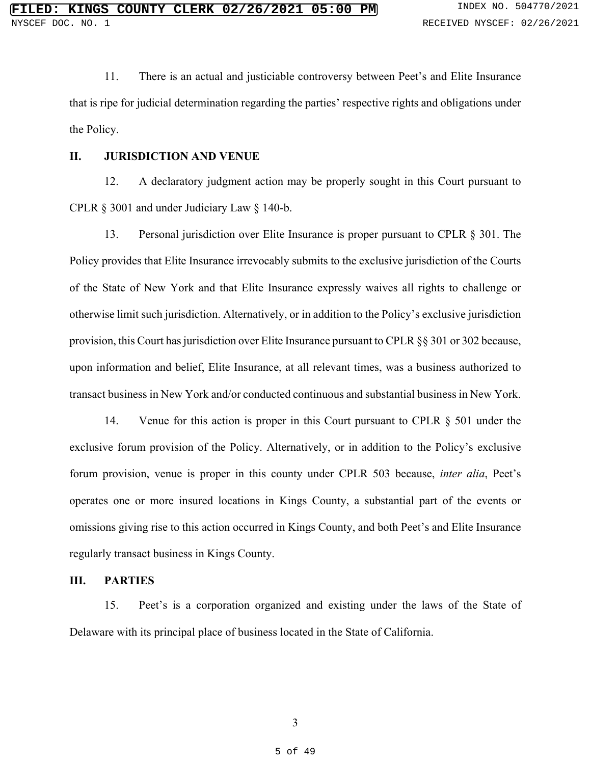11. There is an actual and justiciable controversy between Peet's and Elite Insurance that is ripe for judicial determination regarding the parties' respective rights and obligations under the Policy.

#### **II. JURISDICTION AND VENUE**

12. A declaratory judgment action may be properly sought in this Court pursuant to CPLR § 3001 and under Judiciary Law § 140-b.

13. Personal jurisdiction over Elite Insurance is proper pursuant to CPLR § 301. The Policy provides that Elite Insurance irrevocably submits to the exclusive jurisdiction of the Courts of the State of New York and that Elite Insurance expressly waives all rights to challenge or otherwise limit such jurisdiction. Alternatively, or in addition to the Policy's exclusive jurisdiction provision, this Court has jurisdiction over Elite Insurance pursuant to CPLR §§ 301 or 302 because, upon information and belief, Elite Insurance, at all relevant times, was a business authorized to transact business in New York and/or conducted continuous and substantial business in New York.

14. Venue for this action is proper in this Court pursuant to CPLR § 501 under the exclusive forum provision of the Policy. Alternatively, or in addition to the Policy's exclusive forum provision, venue is proper in this county under CPLR 503 because, *inter alia*, Peet's operates one or more insured locations in Kings County, a substantial part of the events or omissions giving rise to this action occurred in Kings County, and both Peet's and Elite Insurance regularly transact business in Kings County.

#### **III. PARTIES**

15. Peet's is a corporation organized and existing under the laws of the State of Delaware with its principal place of business located in the State of California.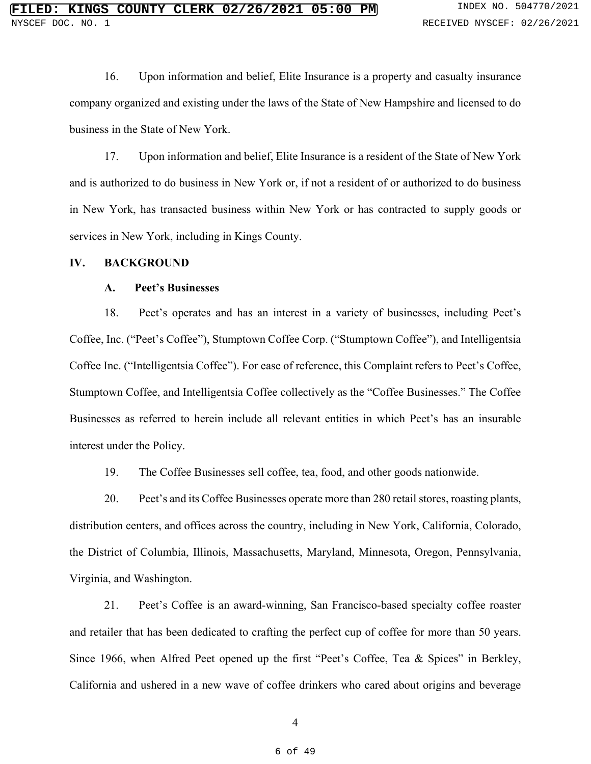16. Upon information and belief, Elite Insurance is a property and casualty insurance company organized and existing under the laws of the State of New Hampshire and licensed to do business in the State of New York.

17. Upon information and belief, Elite Insurance is a resident of the State of New York and is authorized to do business in New York or, if not a resident of or authorized to do business in New York, has transacted business within New York or has contracted to supply goods or services in New York, including in Kings County.

#### **IV. BACKGROUND**

#### **A. Peet's Businesses**

18. Peet's operates and has an interest in a variety of businesses, including Peet's Coffee, Inc. ("Peet's Coffee"), Stumptown Coffee Corp. ("Stumptown Coffee"), and Intelligentsia Coffee Inc. ("Intelligentsia Coffee"). For ease of reference, this Complaint refers to Peet's Coffee, Stumptown Coffee, and Intelligentsia Coffee collectively as the "Coffee Businesses." The Coffee Businesses as referred to herein include all relevant entities in which Peet's has an insurable interest under the Policy.

19. The Coffee Businesses sell coffee, tea, food, and other goods nationwide.

20. Peet's and its Coffee Businesses operate more than 280 retail stores, roasting plants, distribution centers, and offices across the country, including in New York, California, Colorado, the District of Columbia, Illinois, Massachusetts, Maryland, Minnesota, Oregon, Pennsylvania, Virginia, and Washington.

21. Peet's Coffee is an award-winning, San Francisco-based specialty coffee roaster and retailer that has been dedicated to crafting the perfect cup of coffee for more than 50 years. Since 1966, when Alfred Peet opened up the first "Peet's Coffee, Tea & Spices" in Berkley, California and ushered in a new wave of coffee drinkers who cared about origins and beverage

4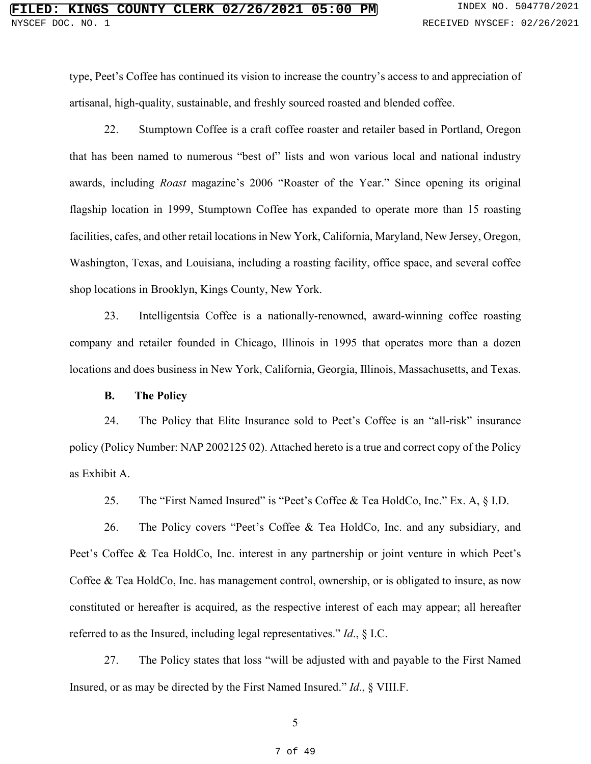type, Peet's Coffee has continued its vision to increase the country's access to and appreciation of artisanal, high-quality, sustainable, and freshly sourced roasted and blended coffee.

22. Stumptown Coffee is a craft coffee roaster and retailer based in Portland, Oregon that has been named to numerous "best of" lists and won various local and national industry awards, including *Roast* magazine's 2006 "Roaster of the Year." Since opening its original flagship location in 1999, Stumptown Coffee has expanded to operate more than 15 roasting facilities, cafes, and other retail locations in New York, California, Maryland, New Jersey, Oregon, Washington, Texas, and Louisiana, including a roasting facility, office space, and several coffee shop locations in Brooklyn, Kings County, New York.

23. Intelligentsia Coffee is a nationally-renowned, award-winning coffee roasting company and retailer founded in Chicago, Illinois in 1995 that operates more than a dozen locations and does business in New York, California, Georgia, Illinois, Massachusetts, and Texas.

#### **B. The Policy**

24. The Policy that Elite Insurance sold to Peet's Coffee is an "all-risk" insurance policy (Policy Number: NAP 2002125 02). Attached hereto is a true and correct copy of the Policy as Exhibit A.

25. The "First Named Insured" is "Peet's Coffee & Tea HoldCo, Inc." Ex. A, § I.D.

26. The Policy covers "Peet's Coffee & Tea HoldCo, Inc. and any subsidiary, and Peet's Coffee & Tea HoldCo, Inc. interest in any partnership or joint venture in which Peet's Coffee & Tea HoldCo, Inc. has management control, ownership, or is obligated to insure, as now constituted or hereafter is acquired, as the respective interest of each may appear; all hereafter referred to as the Insured, including legal representatives." *Id*., § I.C.

27. The Policy states that loss "will be adjusted with and payable to the First Named Insured, or as may be directed by the First Named Insured." *Id*., § VIII.F.

5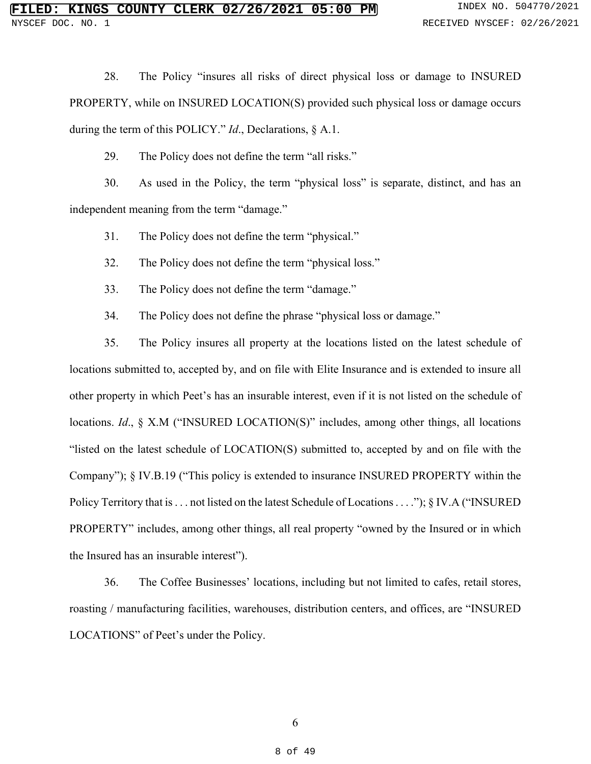28. The Policy "insures all risks of direct physical loss or damage to INSURED PROPERTY, while on INSURED LOCATION(S) provided such physical loss or damage occurs during the term of this POLICY." *Id*., Declarations, § A.1.

29. The Policy does not define the term "all risks."

30. As used in the Policy, the term "physical loss" is separate, distinct, and has an independent meaning from the term "damage."

31. The Policy does not define the term "physical."

32. The Policy does not define the term "physical loss."

33. The Policy does not define the term "damage."

34. The Policy does not define the phrase "physical loss or damage."

35. The Policy insures all property at the locations listed on the latest schedule of locations submitted to, accepted by, and on file with Elite Insurance and is extended to insure all other property in which Peet's has an insurable interest, even if it is not listed on the schedule of locations. *Id*., § X.M ("INSURED LOCATION(S)" includes, among other things, all locations "listed on the latest schedule of LOCATION(S) submitted to, accepted by and on file with the Company"); § IV.B.19 ("This policy is extended to insurance INSURED PROPERTY within the Policy Territory that is ... not listed on the latest Schedule of Locations ...."); § IV.A ("INSURED PROPERTY" includes, among other things, all real property "owned by the Insured or in which the Insured has an insurable interest").

36. The Coffee Businesses' locations, including but not limited to cafes, retail stores, roasting / manufacturing facilities, warehouses, distribution centers, and offices, are "INSURED LOCATIONS" of Peet's under the Policy.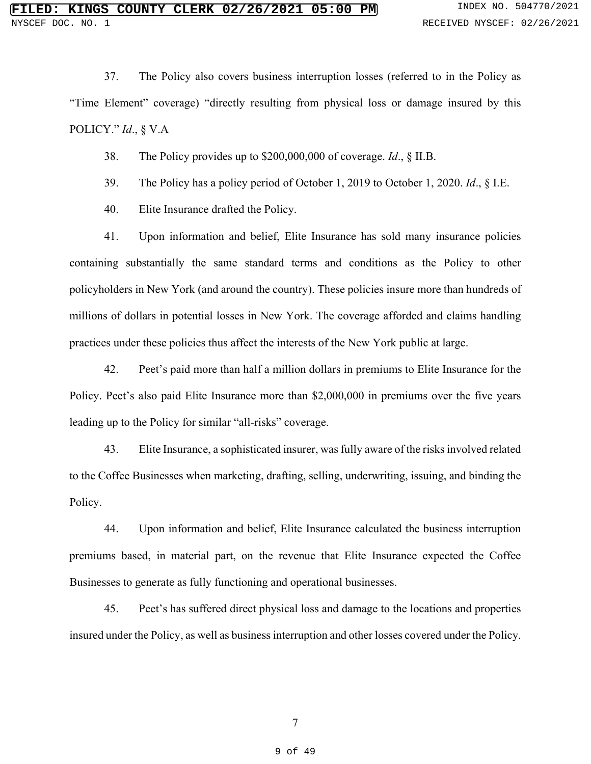37. The Policy also covers business interruption losses (referred to in the Policy as "Time Element" coverage) "directly resulting from physical loss or damage insured by this POLICY." *Id*., § V.A

38. The Policy provides up to \$200,000,000 of coverage. *Id*., § II.B.

39. The Policy has a policy period of October 1, 2019 to October 1, 2020. *Id*., § I.E.

40. Elite Insurance drafted the Policy.

41. Upon information and belief, Elite Insurance has sold many insurance policies containing substantially the same standard terms and conditions as the Policy to other policyholders in New York (and around the country). These policies insure more than hundreds of millions of dollars in potential losses in New York. The coverage afforded and claims handling practices under these policies thus affect the interests of the New York public at large.

42. Peet's paid more than half a million dollars in premiums to Elite Insurance for the Policy. Peet's also paid Elite Insurance more than \$2,000,000 in premiums over the five years leading up to the Policy for similar "all-risks" coverage.

43. Elite Insurance, a sophisticated insurer, was fully aware of the risks involved related to the Coffee Businesses when marketing, drafting, selling, underwriting, issuing, and binding the Policy.

44. Upon information and belief, Elite Insurance calculated the business interruption premiums based, in material part, on the revenue that Elite Insurance expected the Coffee Businesses to generate as fully functioning and operational businesses.

45. Peet's has suffered direct physical loss and damage to the locations and properties insured under the Policy, as well as business interruption and other losses covered under the Policy.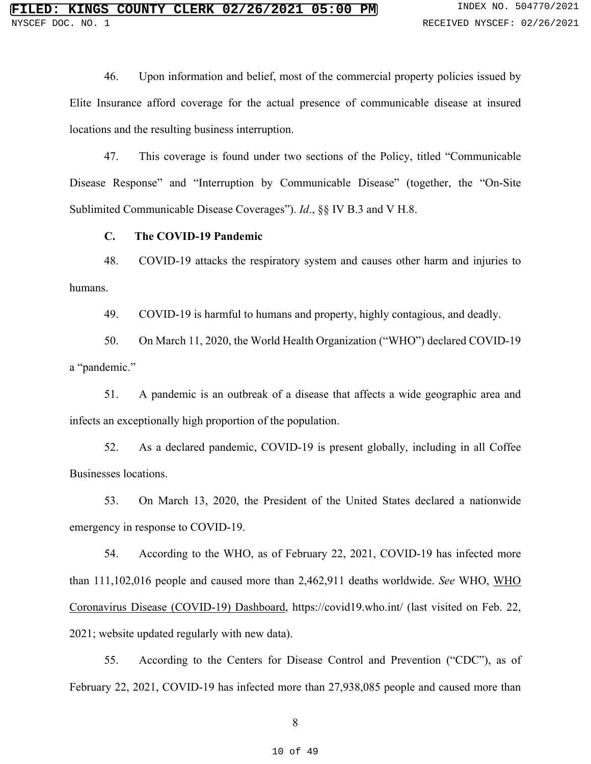46. Upon information and belief, most of the commercial property policies issued by Elite Insurance afford coverage for the actual presence of communicable disease at insured locations and the resulting business interruption.

47. This coverage is found under two sections of the Policy, titled "Communicable Disease Response" and "Interruption by Communicable Disease" (together, the "On-Site Sublimited Communicable Disease Coverages"). *Id*., §§ IV B.3 and V H.8.

### **C. The COVID-19 Pandemic**

48. COVID-19 attacks the respiratory system and causes other harm and injuries to humans.

49. COVID-19 is harmful to humans and property, highly contagious, and deadly.

50. On March 11, 2020, the World Health Organization ("WHO") declared COVID-19 a "pandemic."

51. A pandemic is an outbreak of a disease that affects a wide geographic area and infects an exceptionally high proportion of the population.

52. As a declared pandemic, COVID-19 is present globally, including in all Coffee Businesses locations.

53. On March 13, 2020, the President of the United States declared a nationwide emergency in response to COVID-19.

54. According to the WHO, as of February 22, 2021, COVID-19 has infected more than 111,102,016 people and caused more than 2,462,911 deaths worldwide. *See* WHO, WHO Coronavirus Disease (COVID-19) Dashboard, https://covid19.who.int/ (last visited on Feb. 22, 2021; website updated regularly with new data).

55. According to the Centers for Disease Control and Prevention ("CDC"), as of February 22, 2021, COVID-19 has infected more than 27,938,085 people and caused more than

8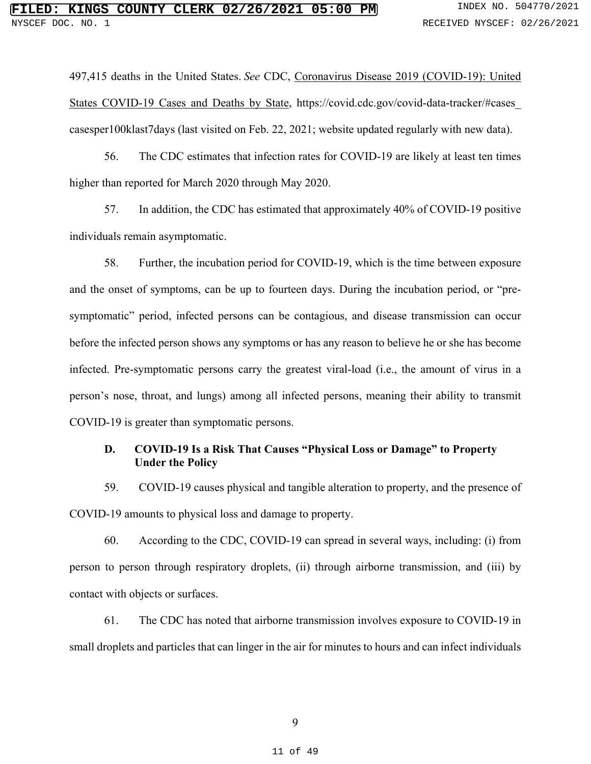497,415 deaths in the United States. *See* CDC, Coronavirus Disease 2019 (COVID-19): United States COVID-19 Cases and Deaths by State, https://covid.cdc.gov/covid-data-tracker/#cases\_ casesper100klast7days (last visited on Feb. 22, 2021; website updated regularly with new data).

56. The CDC estimates that infection rates for COVID-19 are likely at least ten times higher than reported for March 2020 through May 2020.

57. In addition, the CDC has estimated that approximately 40% of COVID-19 positive individuals remain asymptomatic.

58. Further, the incubation period for COVID-19, which is the time between exposure and the onset of symptoms, can be up to fourteen days. During the incubation period, or "presymptomatic" period, infected persons can be contagious, and disease transmission can occur before the infected person shows any symptoms or has any reason to believe he or she has become infected. Pre-symptomatic persons carry the greatest viral-load (i.e., the amount of virus in a person's nose, throat, and lungs) among all infected persons, meaning their ability to transmit COVID-19 is greater than symptomatic persons.

# **D. COVID-19 Is a Risk That Causes "Physical Loss or Damage" to Property Under the Policy**

59. COVID-19 causes physical and tangible alteration to property, and the presence of COVID-19 amounts to physical loss and damage to property.

60. According to the CDC, COVID-19 can spread in several ways, including: (i) from person to person through respiratory droplets, (ii) through airborne transmission, and (iii) by contact with objects or surfaces.

61. The CDC has noted that airborne transmission involves exposure to COVID-19 in small droplets and particles that can linger in the air for minutes to hours and can infect individuals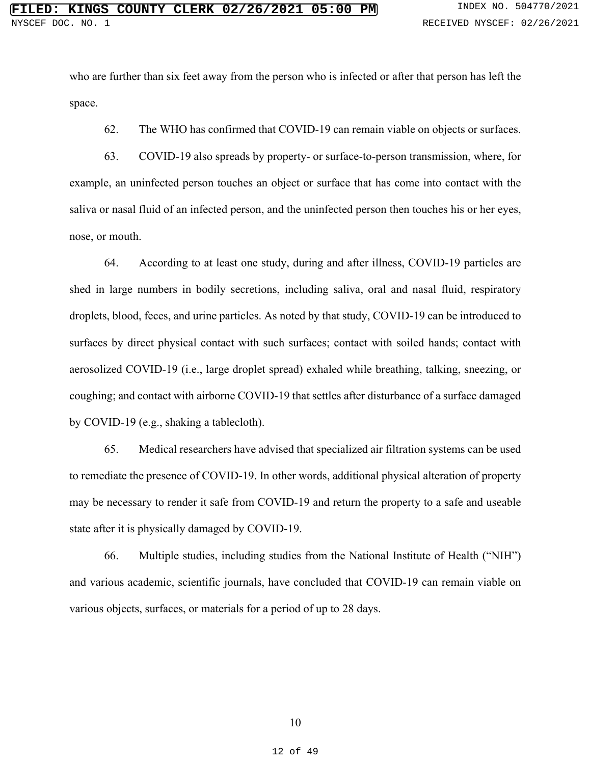who are further than six feet away from the person who is infected or after that person has left the space.

62. The WHO has confirmed that COVID-19 can remain viable on objects or surfaces.

63. COVID-19 also spreads by property- or surface-to-person transmission, where, for example, an uninfected person touches an object or surface that has come into contact with the saliva or nasal fluid of an infected person, and the uninfected person then touches his or her eyes, nose, or mouth.

64. According to at least one study, during and after illness, COVID-19 particles are shed in large numbers in bodily secretions, including saliva, oral and nasal fluid, respiratory droplets, blood, feces, and urine particles. As noted by that study, COVID-19 can be introduced to surfaces by direct physical contact with such surfaces; contact with soiled hands; contact with aerosolized COVID-19 (i.e., large droplet spread) exhaled while breathing, talking, sneezing, or coughing; and contact with airborne COVID-19 that settles after disturbance of a surface damaged by COVID-19 (e.g., shaking a tablecloth).

65. Medical researchers have advised that specialized air filtration systems can be used to remediate the presence of COVID-19. In other words, additional physical alteration of property may be necessary to render it safe from COVID-19 and return the property to a safe and useable state after it is physically damaged by COVID-19.

66. Multiple studies, including studies from the National Institute of Health ("NIH") and various academic, scientific journals, have concluded that COVID-19 can remain viable on various objects, surfaces, or materials for a period of up to 28 days.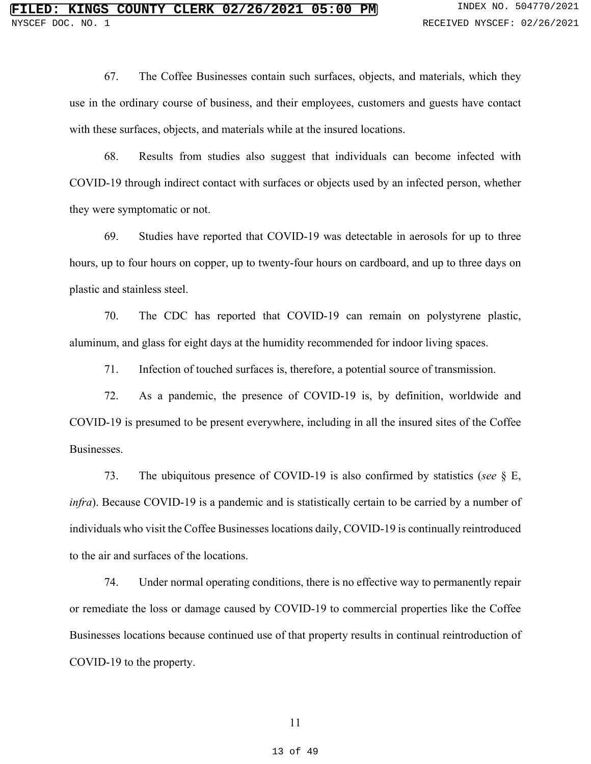67. The Coffee Businesses contain such surfaces, objects, and materials, which they use in the ordinary course of business, and their employees, customers and guests have contact with these surfaces, objects, and materials while at the insured locations.

68. Results from studies also suggest that individuals can become infected with COVID-19 through indirect contact with surfaces or objects used by an infected person, whether they were symptomatic or not.

69. Studies have reported that COVID-19 was detectable in aerosols for up to three hours, up to four hours on copper, up to twenty-four hours on cardboard, and up to three days on plastic and stainless steel.

70. The CDC has reported that COVID-19 can remain on polystyrene plastic, aluminum, and glass for eight days at the humidity recommended for indoor living spaces.

71. Infection of touched surfaces is, therefore, a potential source of transmission.

72. As a pandemic, the presence of COVID-19 is, by definition, worldwide and COVID-19 is presumed to be present everywhere, including in all the insured sites of the Coffee Businesses.

73. The ubiquitous presence of COVID-19 is also confirmed by statistics (*see* § E, *infra*). Because COVID-19 is a pandemic and is statistically certain to be carried by a number of individuals who visit the Coffee Businesses locations daily, COVID-19 is continually reintroduced to the air and surfaces of the locations.

74. Under normal operating conditions, there is no effective way to permanently repair or remediate the loss or damage caused by COVID-19 to commercial properties like the Coffee Businesses locations because continued use of that property results in continual reintroduction of COVID-19 to the property.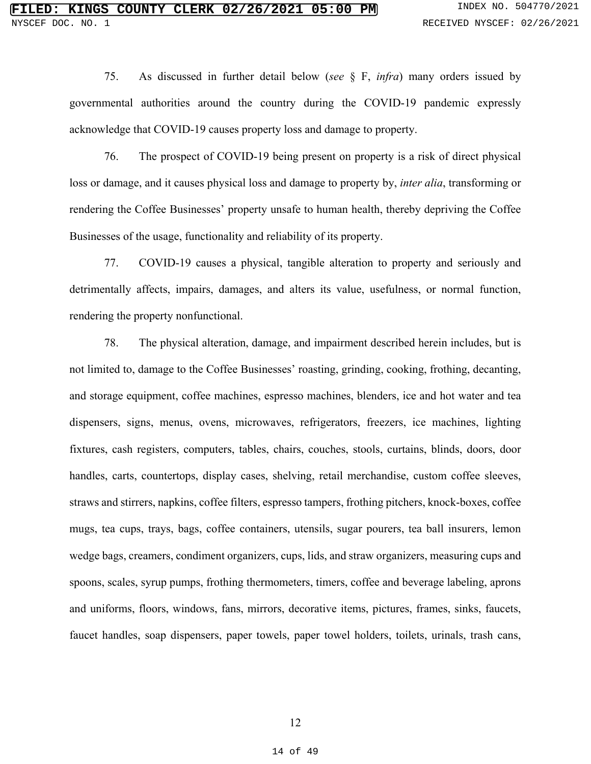75. As discussed in further detail below (*see* § F, *infra*) many orders issued by governmental authorities around the country during the COVID-19 pandemic expressly acknowledge that COVID-19 causes property loss and damage to property.

76. The prospect of COVID-19 being present on property is a risk of direct physical loss or damage, and it causes physical loss and damage to property by, *inter alia*, transforming or rendering the Coffee Businesses' property unsafe to human health, thereby depriving the Coffee Businesses of the usage, functionality and reliability of its property.

77. COVID-19 causes a physical, tangible alteration to property and seriously and detrimentally affects, impairs, damages, and alters its value, usefulness, or normal function, rendering the property nonfunctional.

78. The physical alteration, damage, and impairment described herein includes, but is not limited to, damage to the Coffee Businesses' roasting, grinding, cooking, frothing, decanting, and storage equipment, coffee machines, espresso machines, blenders, ice and hot water and tea dispensers, signs, menus, ovens, microwaves, refrigerators, freezers, ice machines, lighting fixtures, cash registers, computers, tables, chairs, couches, stools, curtains, blinds, doors, door handles, carts, countertops, display cases, shelving, retail merchandise, custom coffee sleeves, straws and stirrers, napkins, coffee filters, espresso tampers, frothing pitchers, knock-boxes, coffee mugs, tea cups, trays, bags, coffee containers, utensils, sugar pourers, tea ball insurers, lemon wedge bags, creamers, condiment organizers, cups, lids, and straw organizers, measuring cups and spoons, scales, syrup pumps, frothing thermometers, timers, coffee and beverage labeling, aprons and uniforms, floors, windows, fans, mirrors, decorative items, pictures, frames, sinks, faucets, faucet handles, soap dispensers, paper towels, paper towel holders, toilets, urinals, trash cans,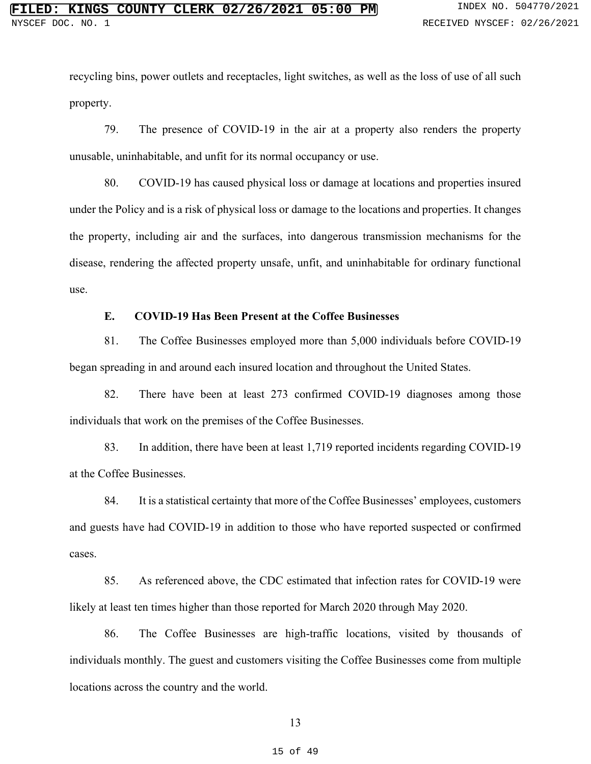recycling bins, power outlets and receptacles, light switches, as well as the loss of use of all such property.

79. The presence of COVID-19 in the air at a property also renders the property unusable, uninhabitable, and unfit for its normal occupancy or use.

80. COVID-19 has caused physical loss or damage at locations and properties insured under the Policy and is a risk of physical loss or damage to the locations and properties. It changes the property, including air and the surfaces, into dangerous transmission mechanisms for the disease, rendering the affected property unsafe, unfit, and uninhabitable for ordinary functional use.

# **E. COVID-19 Has Been Present at the Coffee Businesses**

81. The Coffee Businesses employed more than 5,000 individuals before COVID-19 began spreading in and around each insured location and throughout the United States.

82. There have been at least 273 confirmed COVID-19 diagnoses among those individuals that work on the premises of the Coffee Businesses.

83. In addition, there have been at least 1,719 reported incidents regarding COVID-19 at the Coffee Businesses.

84. It is a statistical certainty that more of the Coffee Businesses' employees, customers and guests have had COVID-19 in addition to those who have reported suspected or confirmed cases.

85. As referenced above, the CDC estimated that infection rates for COVID-19 were likely at least ten times higher than those reported for March 2020 through May 2020.

86. The Coffee Businesses are high-traffic locations, visited by thousands of individuals monthly. The guest and customers visiting the Coffee Businesses come from multiple locations across the country and the world.

13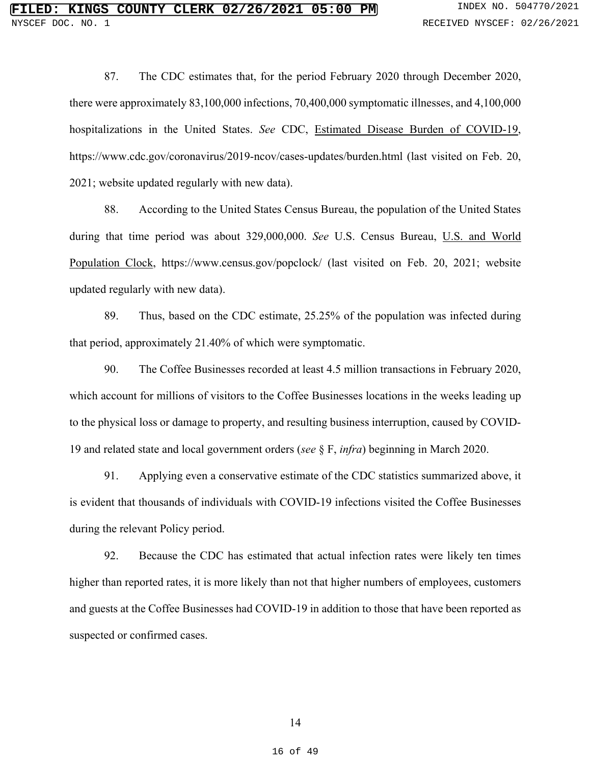87. The CDC estimates that, for the period February 2020 through December 2020, there were approximately 83,100,000 infections, 70,400,000 symptomatic illnesses, and 4,100,000 hospitalizations in the United States. *See* CDC, Estimated Disease Burden of COVID-19, https://www.cdc.gov/coronavirus/2019-ncov/cases-updates/burden.html (last visited on Feb. 20, 2021; website updated regularly with new data).

88. According to the United States Census Bureau, the population of the United States during that time period was about 329,000,000. *See* U.S. Census Bureau, U.S. and World Population Clock, https://www.census.gov/popclock/ (last visited on Feb. 20, 2021; website updated regularly with new data).

89. Thus, based on the CDC estimate, 25.25% of the population was infected during that period, approximately 21.40% of which were symptomatic.

90. The Coffee Businesses recorded at least 4.5 million transactions in February 2020, which account for millions of visitors to the Coffee Businesses locations in the weeks leading up to the physical loss or damage to property, and resulting business interruption, caused by COVID-19 and related state and local government orders (*see* § F, *infra*) beginning in March 2020.

91. Applying even a conservative estimate of the CDC statistics summarized above, it is evident that thousands of individuals with COVID-19 infections visited the Coffee Businesses during the relevant Policy period.

92. Because the CDC has estimated that actual infection rates were likely ten times higher than reported rates, it is more likely than not that higher numbers of employees, customers and guests at the Coffee Businesses had COVID-19 in addition to those that have been reported as suspected or confirmed cases.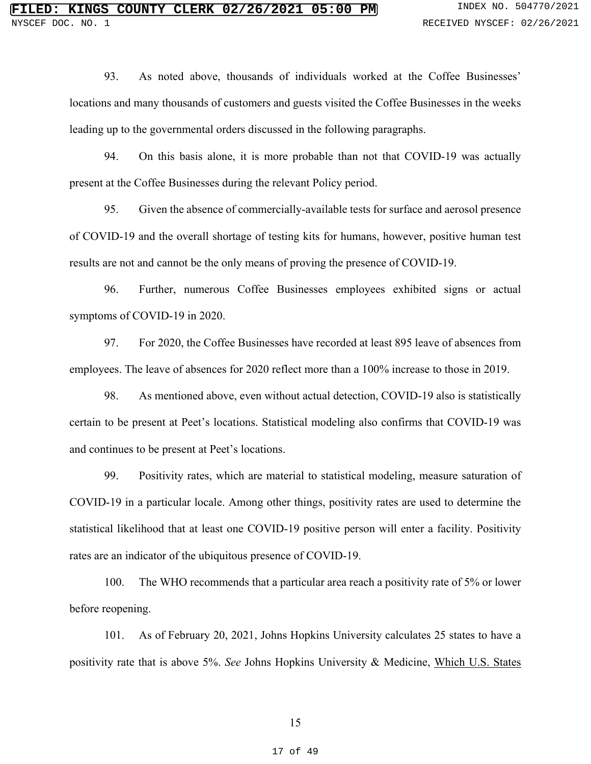93. As noted above, thousands of individuals worked at the Coffee Businesses' locations and many thousands of customers and guests visited the Coffee Businesses in the weeks leading up to the governmental orders discussed in the following paragraphs.

94. On this basis alone, it is more probable than not that COVID-19 was actually present at the Coffee Businesses during the relevant Policy period.

95. Given the absence of commercially‐available tests for surface and aerosol presence of COVID‐19 and the overall shortage of testing kits for humans, however, positive human test results are not and cannot be the only means of proving the presence of COVID‐19.

96. Further, numerous Coffee Businesses employees exhibited signs or actual symptoms of COVID-19 in 2020.

97. For 2020, the Coffee Businesses have recorded at least 895 leave of absences from employees. The leave of absences for 2020 reflect more than a 100% increase to those in 2019.

98. As mentioned above, even without actual detection, COVID-19 also is statistically certain to be present at Peet's locations. Statistical modeling also confirms that COVID-19 was and continues to be present at Peet's locations.

99. Positivity rates, which are material to statistical modeling, measure saturation of COVID-19 in a particular locale. Among other things, positivity rates are used to determine the statistical likelihood that at least one COVID-19 positive person will enter a facility. Positivity rates are an indicator of the ubiquitous presence of COVID-19.

100. The WHO recommends that a particular area reach a positivity rate of 5% or lower before reopening.

101. As of February 20, 2021, Johns Hopkins University calculates 25 states to have a positivity rate that is above 5%. *See* Johns Hopkins University & Medicine, Which U.S. States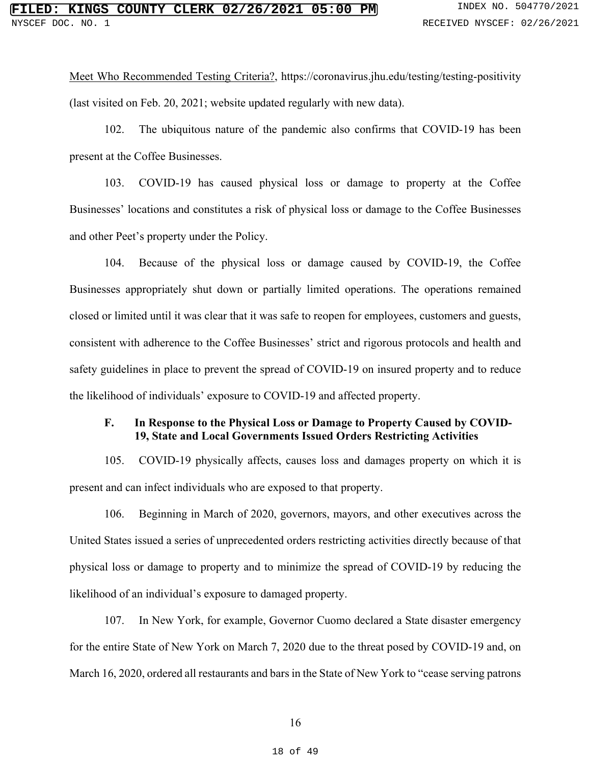Meet Who Recommended Testing Criteria?, https://coronavirus.jhu.edu/testing/testing-positivity (last visited on Feb. 20, 2021; website updated regularly with new data).

102. The ubiquitous nature of the pandemic also confirms that COVID-19 has been present at the Coffee Businesses.

103. COVID-19 has caused physical loss or damage to property at the Coffee Businesses' locations and constitutes a risk of physical loss or damage to the Coffee Businesses and other Peet's property under the Policy.

104. Because of the physical loss or damage caused by COVID-19, the Coffee Businesses appropriately shut down or partially limited operations. The operations remained closed or limited until it was clear that it was safe to reopen for employees, customers and guests, consistent with adherence to the Coffee Businesses' strict and rigorous protocols and health and safety guidelines in place to prevent the spread of COVID-19 on insured property and to reduce the likelihood of individuals' exposure to COVID-19 and affected property.

### **F. In Response to the Physical Loss or Damage to Property Caused by COVID-19, State and Local Governments Issued Orders Restricting Activities**

105. COVID-19 physically affects, causes loss and damages property on which it is present and can infect individuals who are exposed to that property.

106. Beginning in March of 2020, governors, mayors, and other executives across the United States issued a series of unprecedented orders restricting activities directly because of that physical loss or damage to property and to minimize the spread of COVID-19 by reducing the likelihood of an individual's exposure to damaged property.

107. In New York, for example, Governor Cuomo declared a State disaster emergency for the entire State of New York on March 7, 2020 due to the threat posed by COVID-19 and, on March 16, 2020, ordered all restaurants and bars in the State of New York to "cease serving patrons"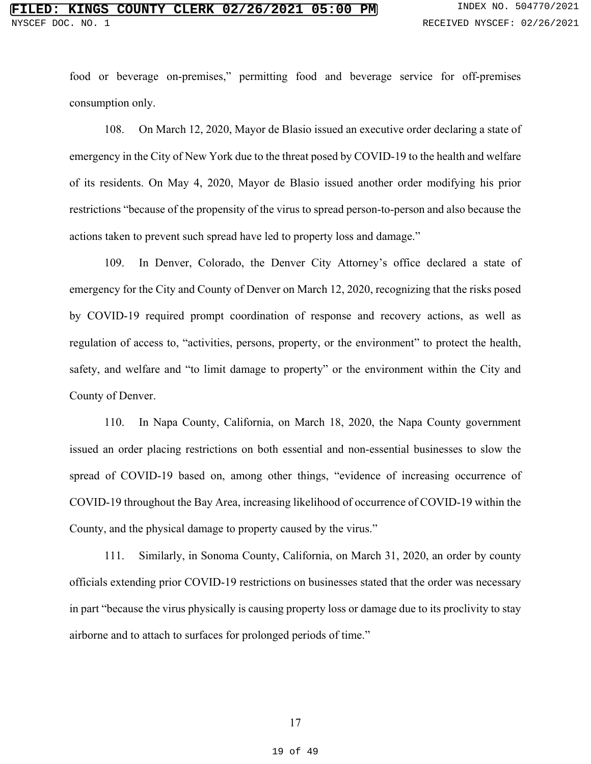food or beverage on-premises," permitting food and beverage service for off-premises consumption only.

108. On March 12, 2020, Mayor de Blasio issued an executive order declaring a state of emergency in the City of New York due to the threat posed by COVID-19 to the health and welfare of its residents. On May 4, 2020, Mayor de Blasio issued another order modifying his prior restrictions "because of the propensity of the virus to spread person-to-person and also because the actions taken to prevent such spread have led to property loss and damage."

109. In Denver, Colorado, the Denver City Attorney's office declared a state of emergency for the City and County of Denver on March 12, 2020, recognizing that the risks posed by COVID-19 required prompt coordination of response and recovery actions, as well as regulation of access to, "activities, persons, property, or the environment" to protect the health, safety, and welfare and "to limit damage to property" or the environment within the City and County of Denver.

110. In Napa County, California, on March 18, 2020, the Napa County government issued an order placing restrictions on both essential and non-essential businesses to slow the spread of COVID-19 based on, among other things, "evidence of increasing occurrence of COVID-19 throughout the Bay Area, increasing likelihood of occurrence of COVID-19 within the County, and the physical damage to property caused by the virus."

111. Similarly, in Sonoma County, California, on March 31, 2020, an order by county officials extending prior COVID-19 restrictions on businesses stated that the order was necessary in part "because the virus physically is causing property loss or damage due to its proclivity to stay airborne and to attach to surfaces for prolonged periods of time."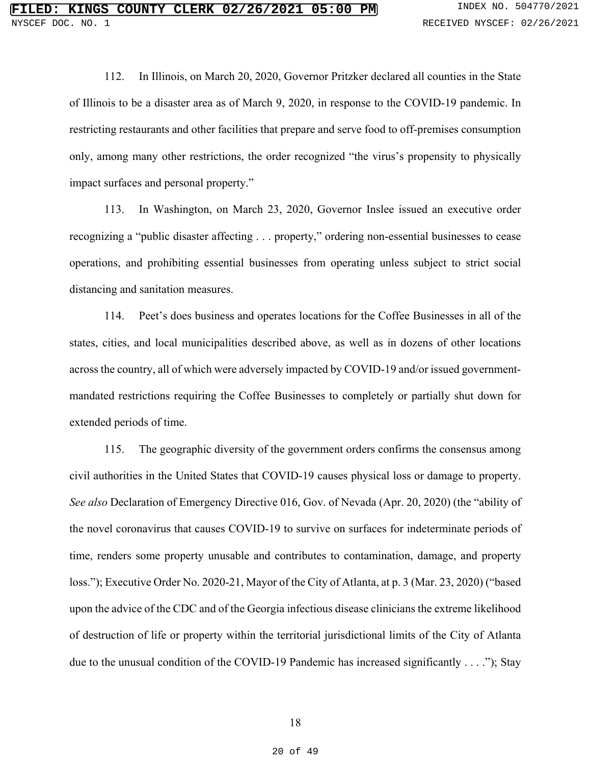112. In Illinois, on March 20, 2020, Governor Pritzker declared all counties in the State of Illinois to be a disaster area as of March 9, 2020, in response to the COVID-19 pandemic. In restricting restaurants and other facilities that prepare and serve food to off-premises consumption only, among many other restrictions, the order recognized "the virus's propensity to physically impact surfaces and personal property."

113. In Washington, on March 23, 2020, Governor Inslee issued an executive order recognizing a "public disaster affecting . . . property," ordering non-essential businesses to cease operations, and prohibiting essential businesses from operating unless subject to strict social distancing and sanitation measures.

114. Peet's does business and operates locations for the Coffee Businesses in all of the states, cities, and local municipalities described above, as well as in dozens of other locations across the country, all of which were adversely impacted by COVID-19 and/or issued governmentmandated restrictions requiring the Coffee Businesses to completely or partially shut down for extended periods of time.

115. The geographic diversity of the government orders confirms the consensus among civil authorities in the United States that COVID-19 causes physical loss or damage to property. *See also* Declaration of Emergency Directive 016, Gov. of Nevada (Apr. 20, 2020) (the "ability of the novel coronavirus that causes COVID-19 to survive on surfaces for indeterminate periods of time, renders some property unusable and contributes to contamination, damage, and property loss."); Executive Order No. 2020-21, Mayor of the City of Atlanta, at p. 3 (Mar. 23, 2020) ("based upon the advice of the CDC and of the Georgia infectious disease clinicians the extreme likelihood of destruction of life or property within the territorial jurisdictional limits of the City of Atlanta due to the unusual condition of the COVID-19 Pandemic has increased significantly . . . ."); Stay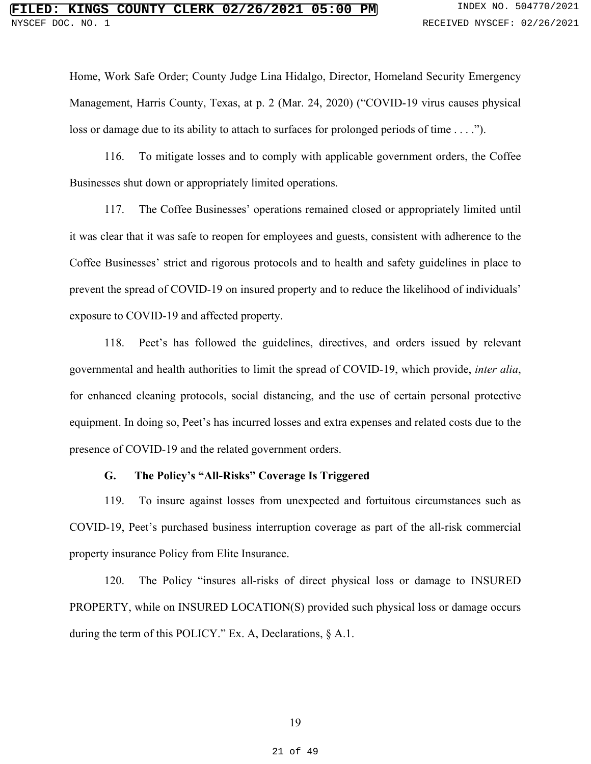Home, Work Safe Order; County Judge Lina Hidalgo, Director, Homeland Security Emergency Management, Harris County, Texas, at p. 2 (Mar. 24, 2020) ("COVID-19 virus causes physical loss or damage due to its ability to attach to surfaces for prolonged periods of time . . . .").

116. To mitigate losses and to comply with applicable government orders, the Coffee Businesses shut down or appropriately limited operations.

117. The Coffee Businesses' operations remained closed or appropriately limited until it was clear that it was safe to reopen for employees and guests, consistent with adherence to the Coffee Businesses' strict and rigorous protocols and to health and safety guidelines in place to prevent the spread of COVID-19 on insured property and to reduce the likelihood of individuals' exposure to COVID-19 and affected property.

118. Peet's has followed the guidelines, directives, and orders issued by relevant governmental and health authorities to limit the spread of COVID-19, which provide, *inter alia*, for enhanced cleaning protocols, social distancing, and the use of certain personal protective equipment. In doing so, Peet's has incurred losses and extra expenses and related costs due to the presence of COVID-19 and the related government orders.

# **G. The Policy's "All-Risks" Coverage Is Triggered**

119. To insure against losses from unexpected and fortuitous circumstances such as COVID-19, Peet's purchased business interruption coverage as part of the all-risk commercial property insurance Policy from Elite Insurance.

120. The Policy "insures all-risks of direct physical loss or damage to INSURED PROPERTY, while on INSURED LOCATION(S) provided such physical loss or damage occurs during the term of this POLICY." Ex. A, Declarations, § A.1.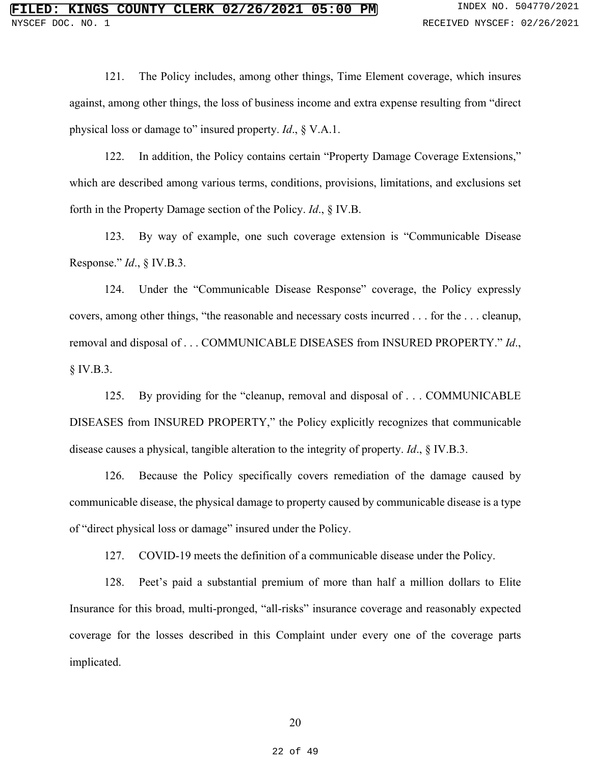121. The Policy includes, among other things, Time Element coverage, which insures against, among other things, the loss of business income and extra expense resulting from "direct physical loss or damage to" insured property. *Id*., § V.A.1.

122. In addition, the Policy contains certain "Property Damage Coverage Extensions," which are described among various terms, conditions, provisions, limitations, and exclusions set forth in the Property Damage section of the Policy. *Id*., § IV.B.

123. By way of example, one such coverage extension is "Communicable Disease Response." *Id*., § IV.B.3.

124. Under the "Communicable Disease Response" coverage, the Policy expressly covers, among other things, "the reasonable and necessary costs incurred . . . for the . . . cleanup, removal and disposal of . . . COMMUNICABLE DISEASES from INSURED PROPERTY." *Id*., § IV.B.3.

125. By providing for the "cleanup, removal and disposal of . . . COMMUNICABLE DISEASES from INSURED PROPERTY," the Policy explicitly recognizes that communicable disease causes a physical, tangible alteration to the integrity of property. *Id*., § IV.B.3.

126. Because the Policy specifically covers remediation of the damage caused by communicable disease, the physical damage to property caused by communicable disease is a type of "direct physical loss or damage" insured under the Policy.

127. COVID-19 meets the definition of a communicable disease under the Policy.

128. Peet's paid a substantial premium of more than half a million dollars to Elite Insurance for this broad, multi-pronged, "all-risks" insurance coverage and reasonably expected coverage for the losses described in this Complaint under every one of the coverage parts implicated.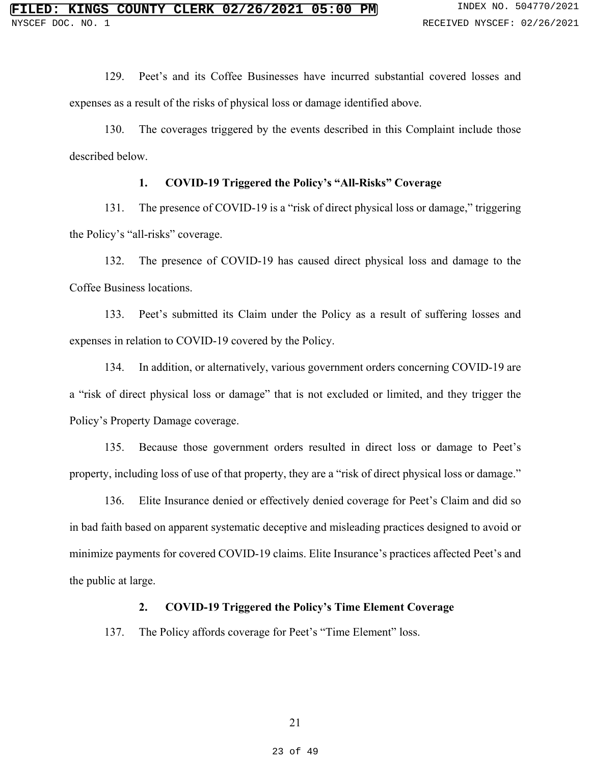129. Peet's and its Coffee Businesses have incurred substantial covered losses and expenses as a result of the risks of physical loss or damage identified above.

130. The coverages triggered by the events described in this Complaint include those described below.

### **1. COVID-19 Triggered the Policy's "All-Risks" Coverage**

131. The presence of COVID-19 is a "risk of direct physical loss or damage," triggering the Policy's "all-risks" coverage.

132. The presence of COVID-19 has caused direct physical loss and damage to the Coffee Business locations.

133. Peet's submitted its Claim under the Policy as a result of suffering losses and expenses in relation to COVID-19 covered by the Policy.

134. In addition, or alternatively, various government orders concerning COVID-19 are a "risk of direct physical loss or damage" that is not excluded or limited, and they trigger the Policy's Property Damage coverage.

135. Because those government orders resulted in direct loss or damage to Peet's property, including loss of use of that property, they are a "risk of direct physical loss or damage."

136. Elite Insurance denied or effectively denied coverage for Peet's Claim and did so in bad faith based on apparent systematic deceptive and misleading practices designed to avoid or minimize payments for covered COVID-19 claims. Elite Insurance's practices affected Peet's and the public at large.

#### **2. COVID-19 Triggered the Policy's Time Element Coverage**

137. The Policy affords coverage for Peet's "Time Element" loss.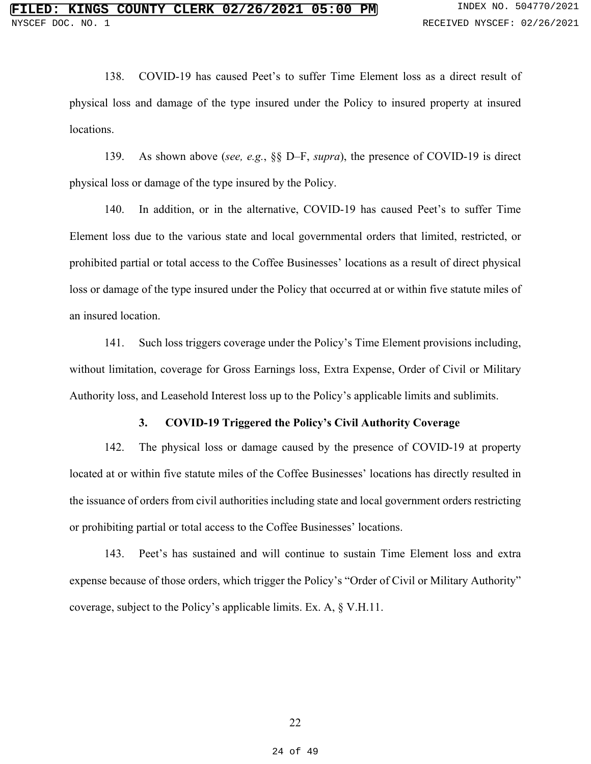138. COVID-19 has caused Peet's to suffer Time Element loss as a direct result of physical loss and damage of the type insured under the Policy to insured property at insured locations.

139. As shown above (*see, e.g.*, §§ D–F, *supra*), the presence of COVID-19 is direct physical loss or damage of the type insured by the Policy.

140. In addition, or in the alternative, COVID-19 has caused Peet's to suffer Time Element loss due to the various state and local governmental orders that limited, restricted, or prohibited partial or total access to the Coffee Businesses' locations as a result of direct physical loss or damage of the type insured under the Policy that occurred at or within five statute miles of an insured location.

141. Such loss triggers coverage under the Policy's Time Element provisions including, without limitation, coverage for Gross Earnings loss, Extra Expense, Order of Civil or Military Authority loss, and Leasehold Interest loss up to the Policy's applicable limits and sublimits.

### **3. COVID-19 Triggered the Policy's Civil Authority Coverage**

142. The physical loss or damage caused by the presence of COVID-19 at property located at or within five statute miles of the Coffee Businesses' locations has directly resulted in the issuance of orders from civil authorities including state and local government orders restricting or prohibiting partial or total access to the Coffee Businesses' locations.

143. Peet's has sustained and will continue to sustain Time Element loss and extra expense because of those orders, which trigger the Policy's "Order of Civil or Military Authority" coverage, subject to the Policy's applicable limits. Ex. A, § V.H.11.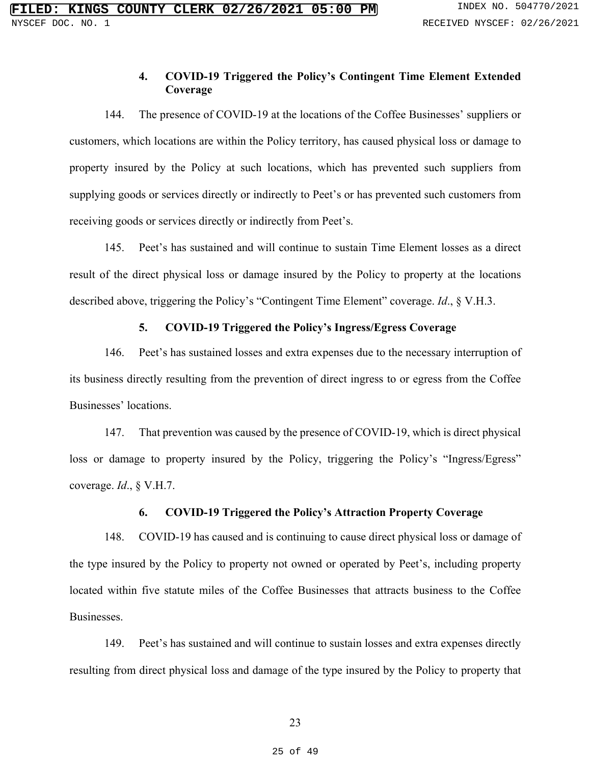# **4. COVID-19 Triggered the Policy's Contingent Time Element Extended Coverage**

144. The presence of COVID-19 at the locations of the Coffee Businesses' suppliers or customers, which locations are within the Policy territory, has caused physical loss or damage to property insured by the Policy at such locations, which has prevented such suppliers from supplying goods or services directly or indirectly to Peet's or has prevented such customers from receiving goods or services directly or indirectly from Peet's.

145. Peet's has sustained and will continue to sustain Time Element losses as a direct result of the direct physical loss or damage insured by the Policy to property at the locations described above, triggering the Policy's "Contingent Time Element" coverage. *Id*., § V.H.3.

### **5. COVID-19 Triggered the Policy's Ingress/Egress Coverage**

146. Peet's has sustained losses and extra expenses due to the necessary interruption of its business directly resulting from the prevention of direct ingress to or egress from the Coffee Businesses' locations.

147. That prevention was caused by the presence of COVID-19, which is direct physical loss or damage to property insured by the Policy, triggering the Policy's "Ingress/Egress" coverage. *Id*., § V.H.7.

### **6. COVID-19 Triggered the Policy's Attraction Property Coverage**

148. COVID-19 has caused and is continuing to cause direct physical loss or damage of the type insured by the Policy to property not owned or operated by Peet's, including property located within five statute miles of the Coffee Businesses that attracts business to the Coffee Businesses.

149. Peet's has sustained and will continue to sustain losses and extra expenses directly resulting from direct physical loss and damage of the type insured by the Policy to property that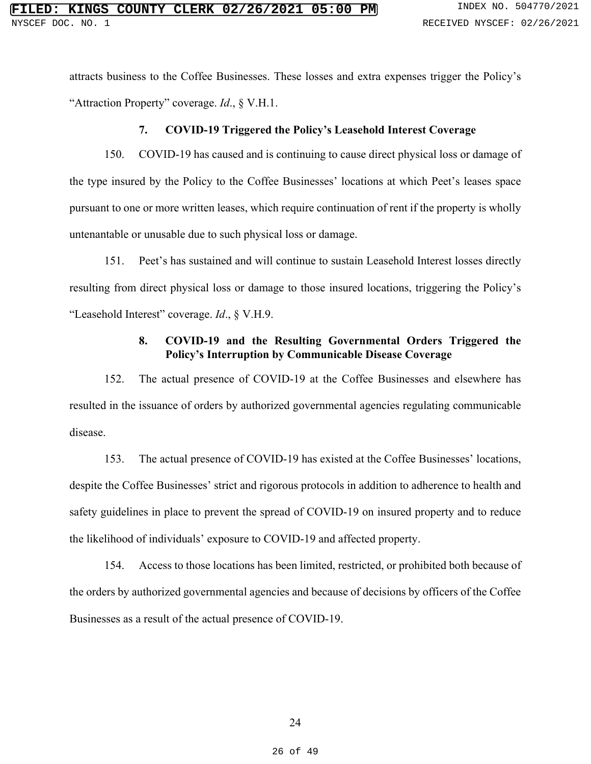attracts business to the Coffee Businesses. These losses and extra expenses trigger the Policy's "Attraction Property" coverage. *Id*., § V.H.1.

#### **7. COVID-19 Triggered the Policy's Leasehold Interest Coverage**

150. COVID-19 has caused and is continuing to cause direct physical loss or damage of the type insured by the Policy to the Coffee Businesses' locations at which Peet's leases space pursuant to one or more written leases, which require continuation of rent if the property is wholly untenantable or unusable due to such physical loss or damage.

151. Peet's has sustained and will continue to sustain Leasehold Interest losses directly resulting from direct physical loss or damage to those insured locations, triggering the Policy's "Leasehold Interest" coverage. *Id*., § V.H.9.

# **8. COVID-19 and the Resulting Governmental Orders Triggered the Policy's Interruption by Communicable Disease Coverage**

152. The actual presence of COVID-19 at the Coffee Businesses and elsewhere has resulted in the issuance of orders by authorized governmental agencies regulating communicable disease.

153. The actual presence of COVID-19 has existed at the Coffee Businesses' locations, despite the Coffee Businesses' strict and rigorous protocols in addition to adherence to health and safety guidelines in place to prevent the spread of COVID-19 on insured property and to reduce the likelihood of individuals' exposure to COVID-19 and affected property.

154. Access to those locations has been limited, restricted, or prohibited both because of the orders by authorized governmental agencies and because of decisions by officers of the Coffee Businesses as a result of the actual presence of COVID-19.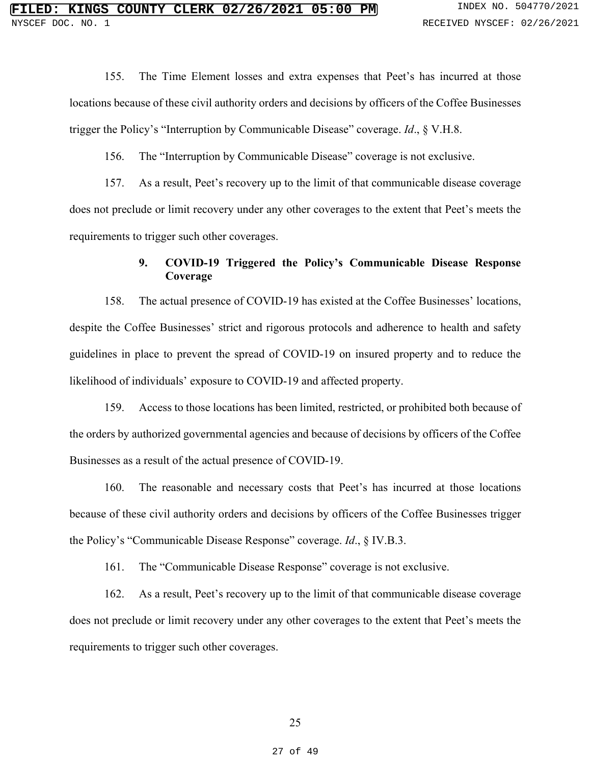155. The Time Element losses and extra expenses that Peet's has incurred at those locations because of these civil authority orders and decisions by officers of the Coffee Businesses trigger the Policy's "Interruption by Communicable Disease" coverage. *Id*., § V.H.8.

156. The "Interruption by Communicable Disease" coverage is not exclusive.

157. As a result, Peet's recovery up to the limit of that communicable disease coverage does not preclude or limit recovery under any other coverages to the extent that Peet's meets the requirements to trigger such other coverages.

# **9. COVID-19 Triggered the Policy's Communicable Disease Response Coverage**

158. The actual presence of COVID-19 has existed at the Coffee Businesses' locations, despite the Coffee Businesses' strict and rigorous protocols and adherence to health and safety guidelines in place to prevent the spread of COVID-19 on insured property and to reduce the likelihood of individuals' exposure to COVID-19 and affected property.

159. Access to those locations has been limited, restricted, or prohibited both because of the orders by authorized governmental agencies and because of decisions by officers of the Coffee Businesses as a result of the actual presence of COVID-19.

160. The reasonable and necessary costs that Peet's has incurred at those locations because of these civil authority orders and decisions by officers of the Coffee Businesses trigger the Policy's "Communicable Disease Response" coverage. *Id*., § IV.B.3.

161. The "Communicable Disease Response" coverage is not exclusive.

162. As a result, Peet's recovery up to the limit of that communicable disease coverage does not preclude or limit recovery under any other coverages to the extent that Peet's meets the requirements to trigger such other coverages.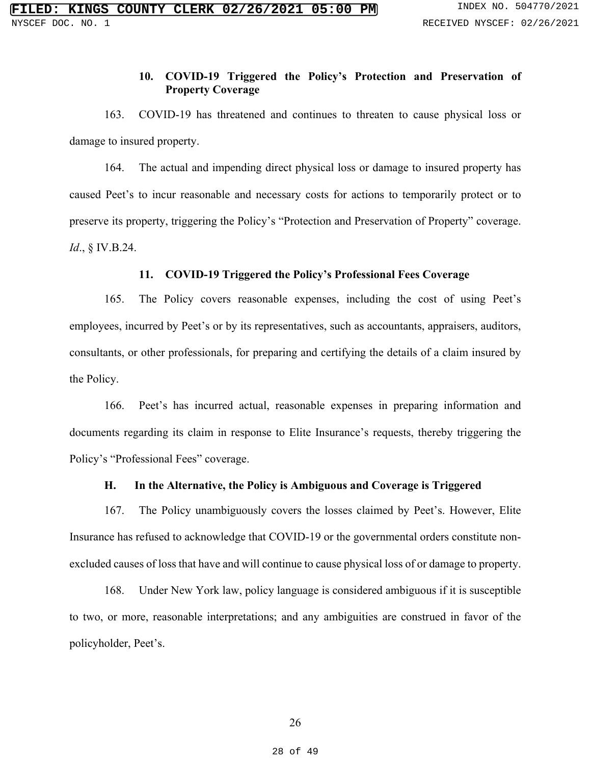# **10. COVID-19 Triggered the Policy's Protection and Preservation of Property Coverage**

163. COVID-19 has threatened and continues to threaten to cause physical loss or damage to insured property.

164. The actual and impending direct physical loss or damage to insured property has caused Peet's to incur reasonable and necessary costs for actions to temporarily protect or to preserve its property, triggering the Policy's "Protection and Preservation of Property" coverage. *Id*., § IV.B.24.

#### **11. COVID-19 Triggered the Policy's Professional Fees Coverage**

165. The Policy covers reasonable expenses, including the cost of using Peet's employees, incurred by Peet's or by its representatives, such as accountants, appraisers, auditors, consultants, or other professionals, for preparing and certifying the details of a claim insured by the Policy.

166. Peet's has incurred actual, reasonable expenses in preparing information and documents regarding its claim in response to Elite Insurance's requests, thereby triggering the Policy's "Professional Fees" coverage.

# **H. In the Alternative, the Policy is Ambiguous and Coverage is Triggered**

167. The Policy unambiguously covers the losses claimed by Peet's. However, Elite Insurance has refused to acknowledge that COVID-19 or the governmental orders constitute nonexcluded causes of loss that have and will continue to cause physical loss of or damage to property.

168. Under New York law, policy language is considered ambiguous if it is susceptible to two, or more, reasonable interpretations; and any ambiguities are construed in favor of the policyholder, Peet's.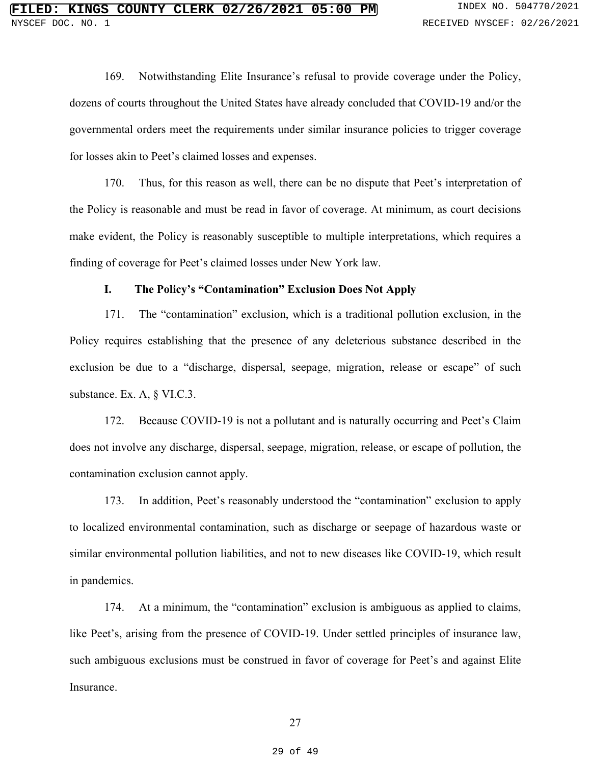169. Notwithstanding Elite Insurance's refusal to provide coverage under the Policy, dozens of courts throughout the United States have already concluded that COVID-19 and/or the governmental orders meet the requirements under similar insurance policies to trigger coverage for losses akin to Peet's claimed losses and expenses.

170. Thus, for this reason as well, there can be no dispute that Peet's interpretation of the Policy is reasonable and must be read in favor of coverage. At minimum, as court decisions make evident, the Policy is reasonably susceptible to multiple interpretations, which requires a finding of coverage for Peet's claimed losses under New York law.

#### **I. The Policy's "Contamination" Exclusion Does Not Apply**

171. The "contamination" exclusion, which is a traditional pollution exclusion, in the Policy requires establishing that the presence of any deleterious substance described in the exclusion be due to a "discharge, dispersal, seepage, migration, release or escape" of such substance. Ex. A, § VI.C.3.

172. Because COVID-19 is not a pollutant and is naturally occurring and Peet's Claim does not involve any discharge, dispersal, seepage, migration, release, or escape of pollution, the contamination exclusion cannot apply.

173. In addition, Peet's reasonably understood the "contamination" exclusion to apply to localized environmental contamination, such as discharge or seepage of hazardous waste or similar environmental pollution liabilities, and not to new diseases like COVID-19, which result in pandemics.

174. At a minimum, the "contamination" exclusion is ambiguous as applied to claims, like Peet's, arising from the presence of COVID-19. Under settled principles of insurance law, such ambiguous exclusions must be construed in favor of coverage for Peet's and against Elite Insurance.

27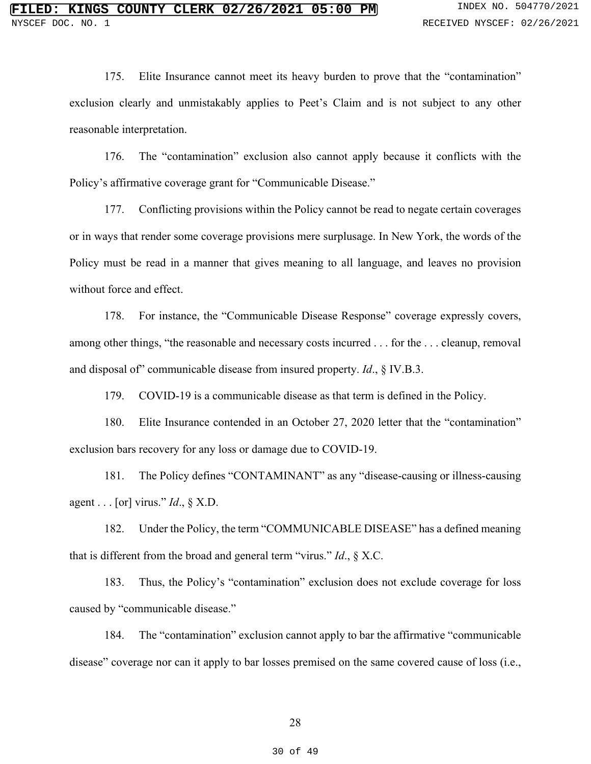175. Elite Insurance cannot meet its heavy burden to prove that the "contamination" exclusion clearly and unmistakably applies to Peet's Claim and is not subject to any other reasonable interpretation.

176. The "contamination" exclusion also cannot apply because it conflicts with the Policy's affirmative coverage grant for "Communicable Disease."

177. Conflicting provisions within the Policy cannot be read to negate certain coverages or in ways that render some coverage provisions mere surplusage. In New York, the words of the Policy must be read in a manner that gives meaning to all language, and leaves no provision without force and effect.

178. For instance, the "Communicable Disease Response" coverage expressly covers, among other things, "the reasonable and necessary costs incurred . . . for the . . . cleanup, removal and disposal of" communicable disease from insured property. *Id*., § IV.B.3.

179. COVID-19 is a communicable disease as that term is defined in the Policy.

180. Elite Insurance contended in an October 27, 2020 letter that the "contamination" exclusion bars recovery for any loss or damage due to COVID-19.

181. The Policy defines "CONTAMINANT" as any "disease-causing or illness-causing agent . . . [or] virus." *Id*., § X.D.

182. Under the Policy, the term "COMMUNICABLE DISEASE" has a defined meaning that is different from the broad and general term "virus." *Id*., § X.C.

183. Thus, the Policy's "contamination" exclusion does not exclude coverage for loss caused by "communicable disease."

184. The "contamination" exclusion cannot apply to bar the affirmative "communicable disease" coverage nor can it apply to bar losses premised on the same covered cause of loss (i.e.,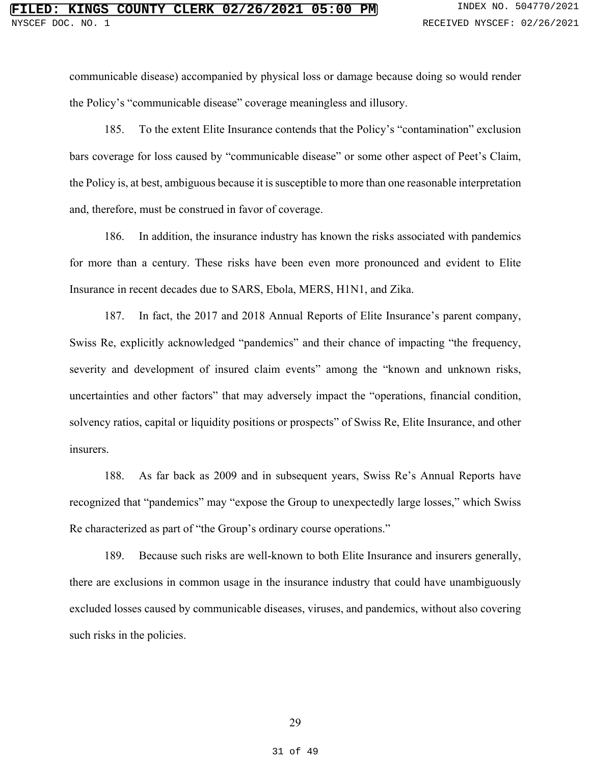communicable disease) accompanied by physical loss or damage because doing so would render the Policy's "communicable disease" coverage meaningless and illusory.

185. To the extent Elite Insurance contends that the Policy's "contamination" exclusion bars coverage for loss caused by "communicable disease" or some other aspect of Peet's Claim, the Policy is, at best, ambiguous because it is susceptible to more than one reasonable interpretation and, therefore, must be construed in favor of coverage.

186. In addition, the insurance industry has known the risks associated with pandemics for more than a century. These risks have been even more pronounced and evident to Elite Insurance in recent decades due to SARS, Ebola, MERS, H1N1, and Zika.

187. In fact, the 2017 and 2018 Annual Reports of Elite Insurance's parent company, Swiss Re, explicitly acknowledged "pandemics" and their chance of impacting "the frequency, severity and development of insured claim events" among the "known and unknown risks, uncertainties and other factors" that may adversely impact the "operations, financial condition, solvency ratios, capital or liquidity positions or prospects" of Swiss Re, Elite Insurance, and other insurers.

188. As far back as 2009 and in subsequent years, Swiss Re's Annual Reports have recognized that "pandemics" may "expose the Group to unexpectedly large losses," which Swiss Re characterized as part of "the Group's ordinary course operations."

189. Because such risks are well-known to both Elite Insurance and insurers generally, there are exclusions in common usage in the insurance industry that could have unambiguously excluded losses caused by communicable diseases, viruses, and pandemics, without also covering such risks in the policies.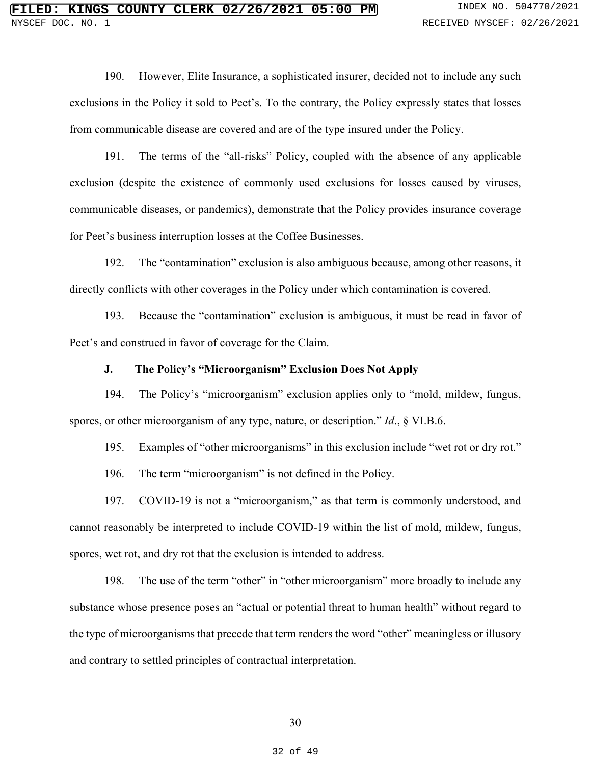190. However, Elite Insurance, a sophisticated insurer, decided not to include any such exclusions in the Policy it sold to Peet's. To the contrary, the Policy expressly states that losses from communicable disease are covered and are of the type insured under the Policy.

191. The terms of the "all-risks" Policy, coupled with the absence of any applicable exclusion (despite the existence of commonly used exclusions for losses caused by viruses, communicable diseases, or pandemics), demonstrate that the Policy provides insurance coverage for Peet's business interruption losses at the Coffee Businesses.

192. The "contamination" exclusion is also ambiguous because, among other reasons, it directly conflicts with other coverages in the Policy under which contamination is covered.

193. Because the "contamination" exclusion is ambiguous, it must be read in favor of Peet's and construed in favor of coverage for the Claim.

### **J. The Policy's "Microorganism" Exclusion Does Not Apply**

194. The Policy's "microorganism" exclusion applies only to "mold, mildew, fungus, spores, or other microorganism of any type, nature, or description." *Id*., § VI.B.6.

195. Examples of "other microorganisms" in this exclusion include "wet rot or dry rot."

196. The term "microorganism" is not defined in the Policy.

197. COVID-19 is not a "microorganism," as that term is commonly understood, and cannot reasonably be interpreted to include COVID-19 within the list of mold, mildew, fungus, spores, wet rot, and dry rot that the exclusion is intended to address.

198. The use of the term "other" in "other microorganism" more broadly to include any substance whose presence poses an "actual or potential threat to human health" without regard to the type of microorganisms that precede that term renders the word "other" meaningless or illusory and contrary to settled principles of contractual interpretation.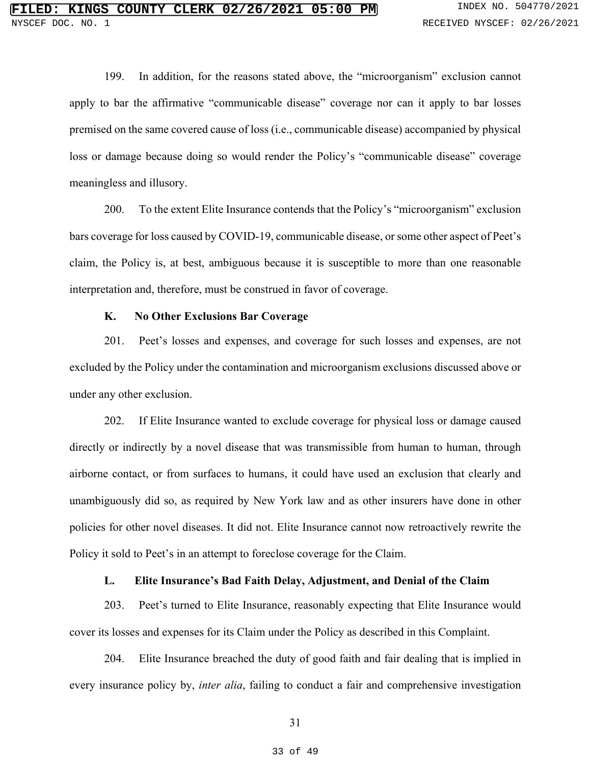199. In addition, for the reasons stated above, the "microorganism" exclusion cannot apply to bar the affirmative "communicable disease" coverage nor can it apply to bar losses premised on the same covered cause of loss (i.e., communicable disease) accompanied by physical loss or damage because doing so would render the Policy's "communicable disease" coverage meaningless and illusory.

200. To the extent Elite Insurance contends that the Policy's "microorganism" exclusion bars coverage for loss caused by COVID-19, communicable disease, or some other aspect of Peet's claim, the Policy is, at best, ambiguous because it is susceptible to more than one reasonable interpretation and, therefore, must be construed in favor of coverage.

### **K. No Other Exclusions Bar Coverage**

201. Peet's losses and expenses, and coverage for such losses and expenses, are not excluded by the Policy under the contamination and microorganism exclusions discussed above or under any other exclusion.

202. If Elite Insurance wanted to exclude coverage for physical loss or damage caused directly or indirectly by a novel disease that was transmissible from human to human, through airborne contact, or from surfaces to humans, it could have used an exclusion that clearly and unambiguously did so, as required by New York law and as other insurers have done in other policies for other novel diseases. It did not. Elite Insurance cannot now retroactively rewrite the Policy it sold to Peet's in an attempt to foreclose coverage for the Claim.

### **L. Elite Insurance's Bad Faith Delay, Adjustment, and Denial of the Claim**

203. Peet's turned to Elite Insurance, reasonably expecting that Elite Insurance would cover its losses and expenses for its Claim under the Policy as described in this Complaint.

204. Elite Insurance breached the duty of good faith and fair dealing that is implied in every insurance policy by, *inter alia*, failing to conduct a fair and comprehensive investigation

31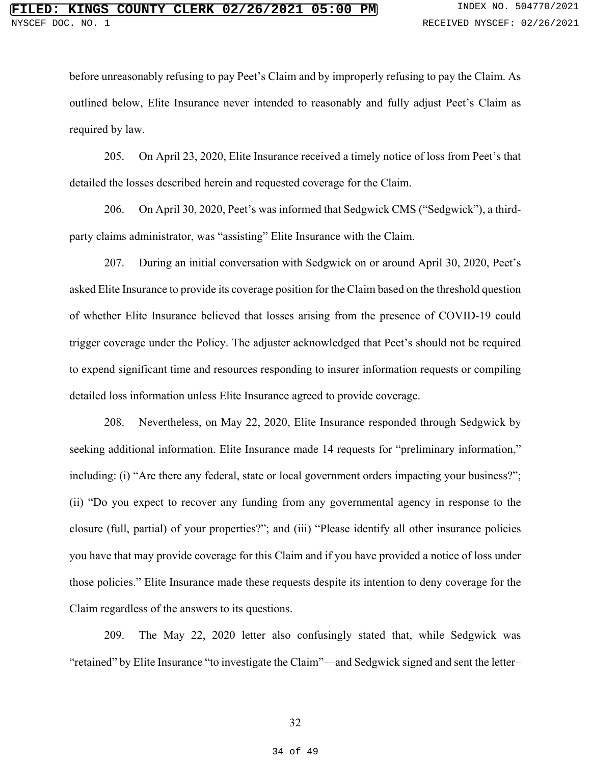before unreasonably refusing to pay Peet's Claim and by improperly refusing to pay the Claim. As outlined below, Elite Insurance never intended to reasonably and fully adjust Peet's Claim as required by law.

205. On April 23, 2020, Elite Insurance received a timely notice of loss from Peet's that detailed the losses described herein and requested coverage for the Claim.

206. On April 30, 2020, Peet's was informed that Sedgwick CMS ("Sedgwick"), a thirdparty claims administrator, was "assisting" Elite Insurance with the Claim.

207. During an initial conversation with Sedgwick on or around April 30, 2020, Peet's asked Elite Insurance to provide its coverage position for the Claim based on the threshold question of whether Elite Insurance believed that losses arising from the presence of COVID-19 could trigger coverage under the Policy. The adjuster acknowledged that Peet's should not be required to expend significant time and resources responding to insurer information requests or compiling detailed loss information unless Elite Insurance agreed to provide coverage.

208. Nevertheless, on May 22, 2020, Elite Insurance responded through Sedgwick by seeking additional information. Elite Insurance made 14 requests for "preliminary information," including: (i) "Are there any federal, state or local government orders impacting your business?"; (ii) "Do you expect to recover any funding from any governmental agency in response to the closure (full, partial) of your properties?"; and (iii) "Please identify all other insurance policies you have that may provide coverage for this Claim and if you have provided a notice of loss under those policies." Elite Insurance made these requests despite its intention to deny coverage for the Claim regardless of the answers to its questions.

209. The May 22, 2020 letter also confusingly stated that, while Sedgwick was "retained" by Elite Insurance "to investigate the Claim"––and Sedgwick signed and sent the letter–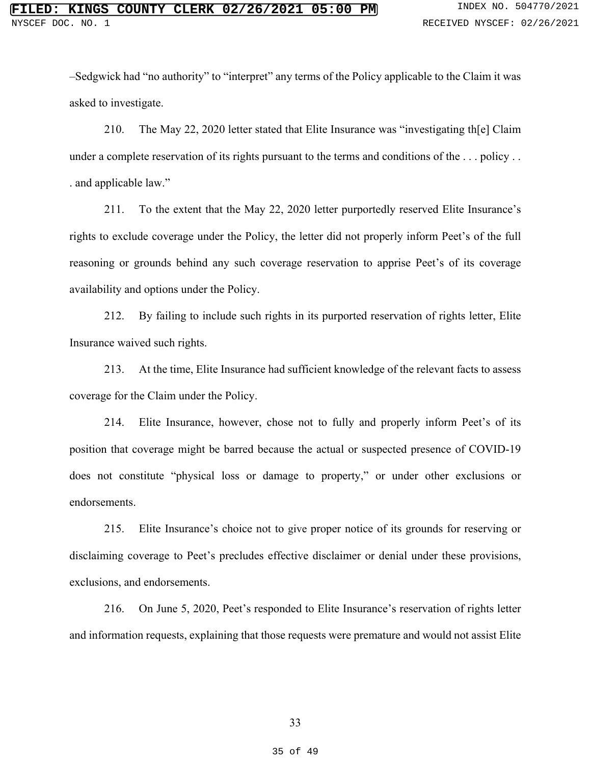–Sedgwick had "no authority" to "interpret" any terms of the Policy applicable to the Claim it was asked to investigate.

210. The May 22, 2020 letter stated that Elite Insurance was "investigating th[e] Claim under a complete reservation of its rights pursuant to the terms and conditions of the ... policy .. . and applicable law."

211. To the extent that the May 22, 2020 letter purportedly reserved Elite Insurance's rights to exclude coverage under the Policy, the letter did not properly inform Peet's of the full reasoning or grounds behind any such coverage reservation to apprise Peet's of its coverage availability and options under the Policy.

212. By failing to include such rights in its purported reservation of rights letter, Elite Insurance waived such rights.

213. At the time, Elite Insurance had sufficient knowledge of the relevant facts to assess coverage for the Claim under the Policy.

214. Elite Insurance, however, chose not to fully and properly inform Peet's of its position that coverage might be barred because the actual or suspected presence of COVID-19 does not constitute "physical loss or damage to property," or under other exclusions or endorsements.

215. Elite Insurance's choice not to give proper notice of its grounds for reserving or disclaiming coverage to Peet's precludes effective disclaimer or denial under these provisions, exclusions, and endorsements.

216. On June 5, 2020, Peet's responded to Elite Insurance's reservation of rights letter and information requests, explaining that those requests were premature and would not assist Elite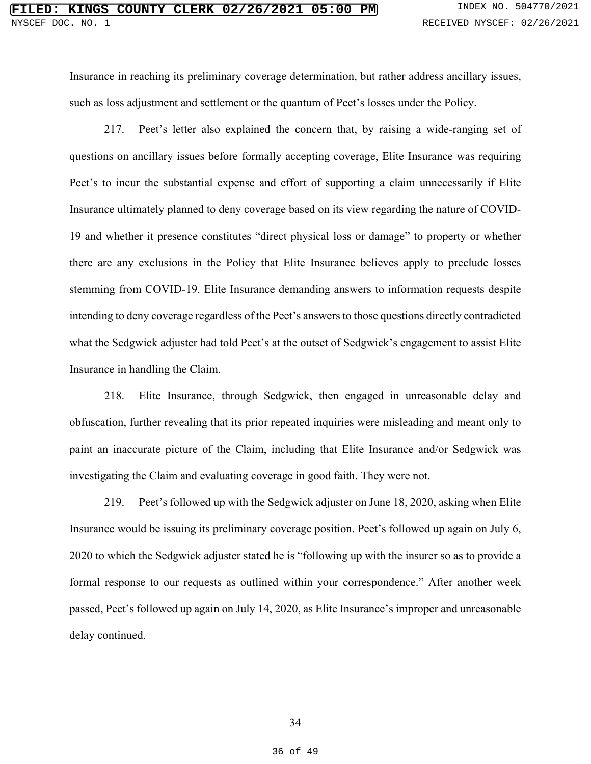Insurance in reaching its preliminary coverage determination, but rather address ancillary issues, such as loss adjustment and settlement or the quantum of Peet's losses under the Policy.

217. Peet's letter also explained the concern that, by raising a wide-ranging set of questions on ancillary issues before formally accepting coverage, Elite Insurance was requiring Peet's to incur the substantial expense and effort of supporting a claim unnecessarily if Elite Insurance ultimately planned to deny coverage based on its view regarding the nature of COVID-19 and whether it presence constitutes "direct physical loss or damage" to property or whether there are any exclusions in the Policy that Elite Insurance believes apply to preclude losses stemming from COVID-19. Elite Insurance demanding answers to information requests despite intending to deny coverage regardless of the Peet's answers to those questions directly contradicted what the Sedgwick adjuster had told Peet's at the outset of Sedgwick's engagement to assist Elite Insurance in handling the Claim.

218. Elite Insurance, through Sedgwick, then engaged in unreasonable delay and obfuscation, further revealing that its prior repeated inquiries were misleading and meant only to paint an inaccurate picture of the Claim, including that Elite Insurance and/or Sedgwick was investigating the Claim and evaluating coverage in good faith. They were not.

219. Peet's followed up with the Sedgwick adjuster on June 18, 2020, asking when Elite Insurance would be issuing its preliminary coverage position. Peet's followed up again on July 6, 2020 to which the Sedgwick adjuster stated he is "following up with the insurer so as to provide a formal response to our requests as outlined within your correspondence." After another week passed, Peet's followed up again on July 14, 2020, as Elite Insurance's improper and unreasonable delay continued.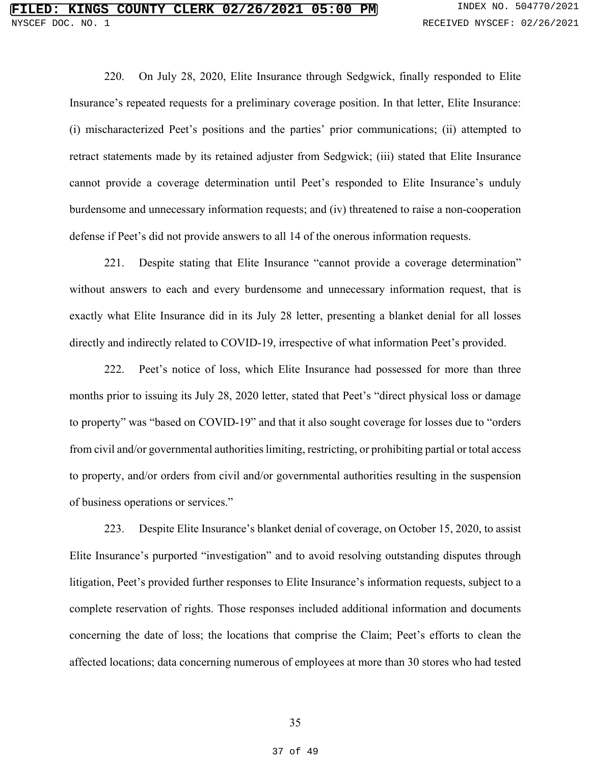220. On July 28, 2020, Elite Insurance through Sedgwick, finally responded to Elite Insurance's repeated requests for a preliminary coverage position. In that letter, Elite Insurance: (i) mischaracterized Peet's positions and the parties' prior communications; (ii) attempted to retract statements made by its retained adjuster from Sedgwick; (iii) stated that Elite Insurance cannot provide a coverage determination until Peet's responded to Elite Insurance's unduly burdensome and unnecessary information requests; and (iv) threatened to raise a non-cooperation defense if Peet's did not provide answers to all 14 of the onerous information requests.

221. Despite stating that Elite Insurance "cannot provide a coverage determination" without answers to each and every burdensome and unnecessary information request, that is exactly what Elite Insurance did in its July 28 letter, presenting a blanket denial for all losses directly and indirectly related to COVID-19, irrespective of what information Peet's provided.

222. Peet's notice of loss, which Elite Insurance had possessed for more than three months prior to issuing its July 28, 2020 letter, stated that Peet's "direct physical loss or damage to property" was "based on COVID-19" and that it also sought coverage for losses due to "orders from civil and/or governmental authorities limiting, restricting, or prohibiting partial or total access to property, and/or orders from civil and/or governmental authorities resulting in the suspension of business operations or services."

223. Despite Elite Insurance's blanket denial of coverage, on October 15, 2020, to assist Elite Insurance's purported "investigation" and to avoid resolving outstanding disputes through litigation, Peet's provided further responses to Elite Insurance's information requests, subject to a complete reservation of rights. Those responses included additional information and documents concerning the date of loss; the locations that comprise the Claim; Peet's efforts to clean the affected locations; data concerning numerous of employees at more than 30 stores who had tested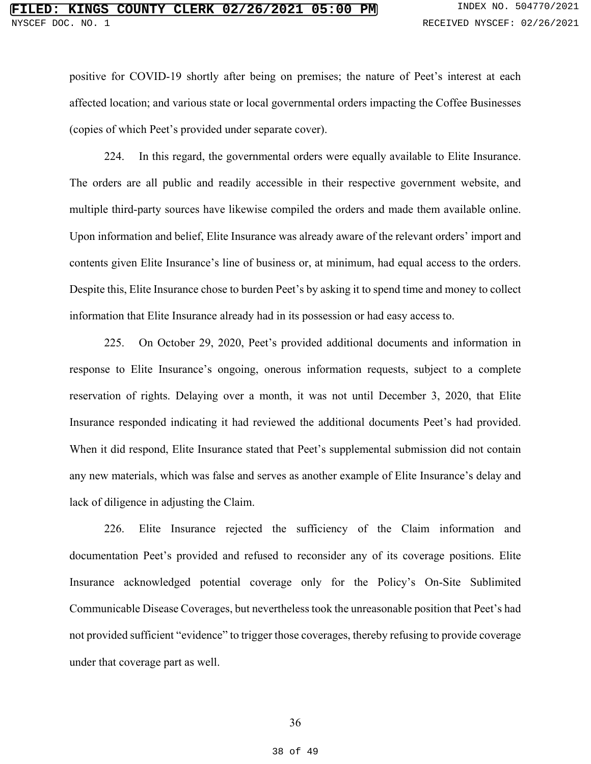positive for COVID-19 shortly after being on premises; the nature of Peet's interest at each affected location; and various state or local governmental orders impacting the Coffee Businesses (copies of which Peet's provided under separate cover).

224. In this regard, the governmental orders were equally available to Elite Insurance. The orders are all public and readily accessible in their respective government website, and multiple third-party sources have likewise compiled the orders and made them available online. Upon information and belief, Elite Insurance was already aware of the relevant orders' import and contents given Elite Insurance's line of business or, at minimum, had equal access to the orders. Despite this, Elite Insurance chose to burden Peet's by asking it to spend time and money to collect information that Elite Insurance already had in its possession or had easy access to.

225. On October 29, 2020, Peet's provided additional documents and information in response to Elite Insurance's ongoing, onerous information requests, subject to a complete reservation of rights. Delaying over a month, it was not until December 3, 2020, that Elite Insurance responded indicating it had reviewed the additional documents Peet's had provided. When it did respond, Elite Insurance stated that Peet's supplemental submission did not contain any new materials, which was false and serves as another example of Elite Insurance's delay and lack of diligence in adjusting the Claim.

226. Elite Insurance rejected the sufficiency of the Claim information and documentation Peet's provided and refused to reconsider any of its coverage positions. Elite Insurance acknowledged potential coverage only for the Policy's On-Site Sublimited Communicable Disease Coverages, but nevertheless took the unreasonable position that Peet's had not provided sufficient "evidence" to trigger those coverages, thereby refusing to provide coverage under that coverage part as well.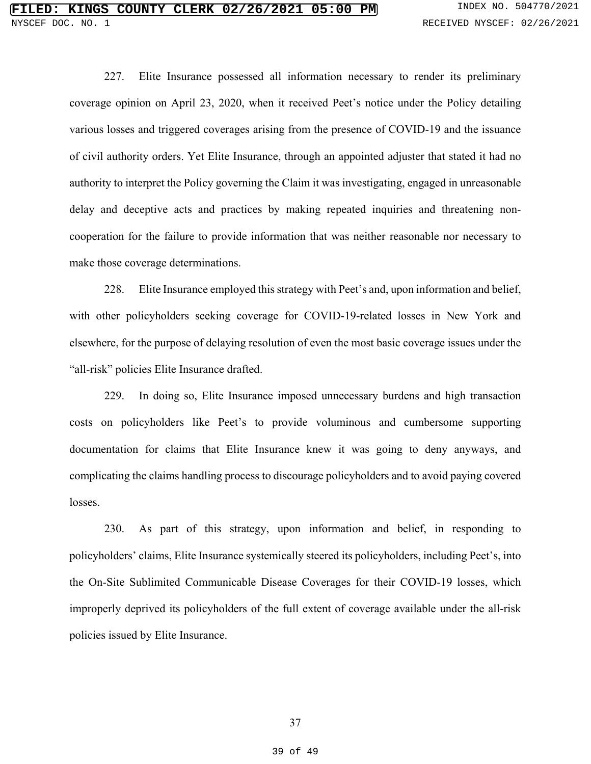227. Elite Insurance possessed all information necessary to render its preliminary coverage opinion on April 23, 2020, when it received Peet's notice under the Policy detailing various losses and triggered coverages arising from the presence of COVID-19 and the issuance of civil authority orders. Yet Elite Insurance, through an appointed adjuster that stated it had no authority to interpret the Policy governing the Claim it was investigating, engaged in unreasonable delay and deceptive acts and practices by making repeated inquiries and threatening noncooperation for the failure to provide information that was neither reasonable nor necessary to make those coverage determinations.

228. Elite Insurance employed this strategy with Peet's and, upon information and belief, with other policyholders seeking coverage for COVID-19-related losses in New York and elsewhere, for the purpose of delaying resolution of even the most basic coverage issues under the "all-risk" policies Elite Insurance drafted.

229. In doing so, Elite Insurance imposed unnecessary burdens and high transaction costs on policyholders like Peet's to provide voluminous and cumbersome supporting documentation for claims that Elite Insurance knew it was going to deny anyways, and complicating the claims handling process to discourage policyholders and to avoid paying covered losses.

230. As part of this strategy, upon information and belief, in responding to policyholders' claims, Elite Insurance systemically steered its policyholders, including Peet's, into the On-Site Sublimited Communicable Disease Coverages for their COVID-19 losses, which improperly deprived its policyholders of the full extent of coverage available under the all-risk policies issued by Elite Insurance.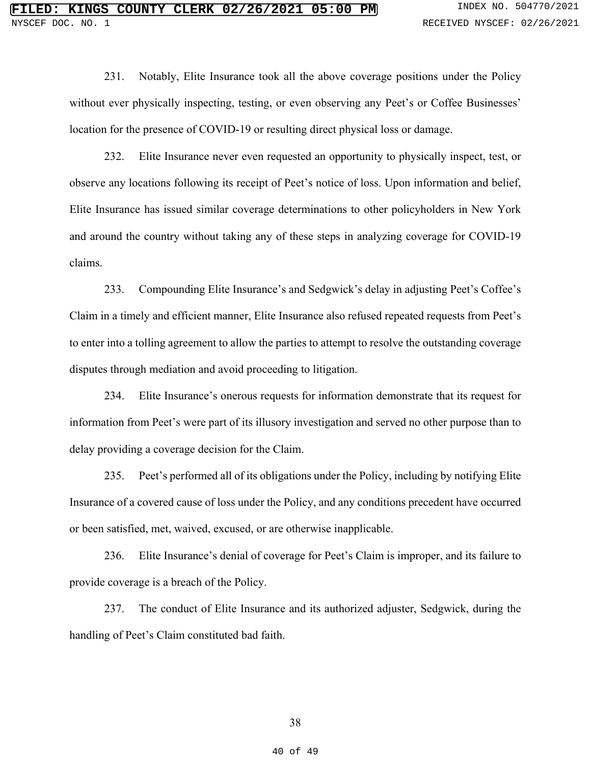231. Notably, Elite Insurance took all the above coverage positions under the Policy without ever physically inspecting, testing, or even observing any Peet's or Coffee Businesses' location for the presence of COVID-19 or resulting direct physical loss or damage.

232. Elite Insurance never even requested an opportunity to physically inspect, test, or observe any locations following its receipt of Peet's notice of loss. Upon information and belief, Elite Insurance has issued similar coverage determinations to other policyholders in New York and around the country without taking any of these steps in analyzing coverage for COVID-19 claims.

233. Compounding Elite Insurance's and Sedgwick's delay in adjusting Peet's Coffee's Claim in a timely and efficient manner, Elite Insurance also refused repeated requests from Peet's to enter into a tolling agreement to allow the parties to attempt to resolve the outstanding coverage disputes through mediation and avoid proceeding to litigation.

234. Elite Insurance's onerous requests for information demonstrate that its request for information from Peet's were part of its illusory investigation and served no other purpose than to delay providing a coverage decision for the Claim.

235. Peet's performed all of its obligations under the Policy, including by notifying Elite Insurance of a covered cause of loss under the Policy, and any conditions precedent have occurred or been satisfied, met, waived, excused, or are otherwise inapplicable.

236. Elite Insurance's denial of coverage for Peet's Claim is improper, and its failure to provide coverage is a breach of the Policy.

237. The conduct of Elite Insurance and its authorized adjuster, Sedgwick, during the handling of Peet's Claim constituted bad faith.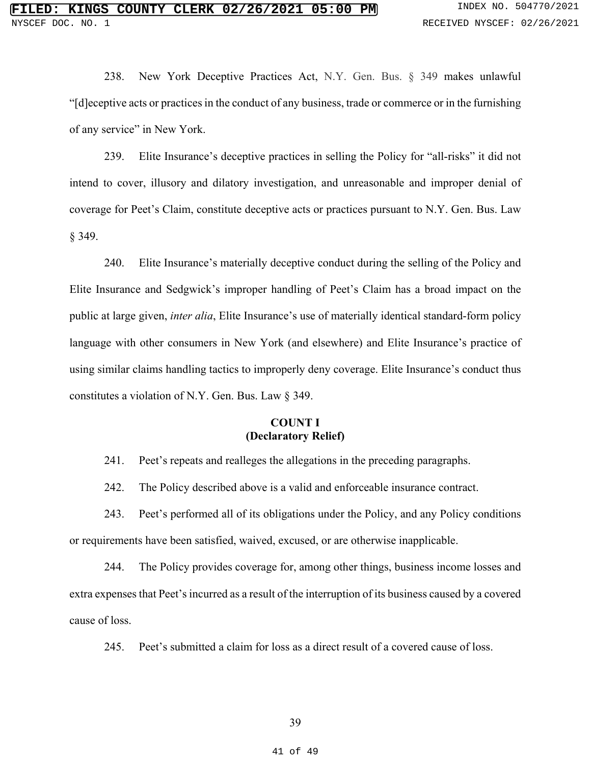238. New York Deceptive Practices Act, N.Y. Gen. Bus. § 349 makes unlawful "[d]eceptive acts or practices in the conduct of any business, trade or commerce or in the furnishing of any service" in New York.

239. Elite Insurance's deceptive practices in selling the Policy for "all-risks" it did not intend to cover, illusory and dilatory investigation, and unreasonable and improper denial of coverage for Peet's Claim, constitute deceptive acts or practices pursuant to N.Y. Gen. Bus. Law § 349.

240. Elite Insurance's materially deceptive conduct during the selling of the Policy and Elite Insurance and Sedgwick's improper handling of Peet's Claim has a broad impact on the public at large given, *inter alia*, Elite Insurance's use of materially identical standard-form policy language with other consumers in New York (and elsewhere) and Elite Insurance's practice of using similar claims handling tactics to improperly deny coverage. Elite Insurance's conduct thus constitutes a violation of N.Y. Gen. Bus. Law § 349.

### **COUNT I (Declaratory Relief)**

241. Peet's repeats and realleges the allegations in the preceding paragraphs.

242. The Policy described above is a valid and enforceable insurance contract.

243. Peet's performed all of its obligations under the Policy, and any Policy conditions or requirements have been satisfied, waived, excused, or are otherwise inapplicable.

244. The Policy provides coverage for, among other things, business income losses and extra expenses that Peet's incurred as a result of the interruption of its business caused by a covered cause of loss.

245. Peet's submitted a claim for loss as a direct result of a covered cause of loss.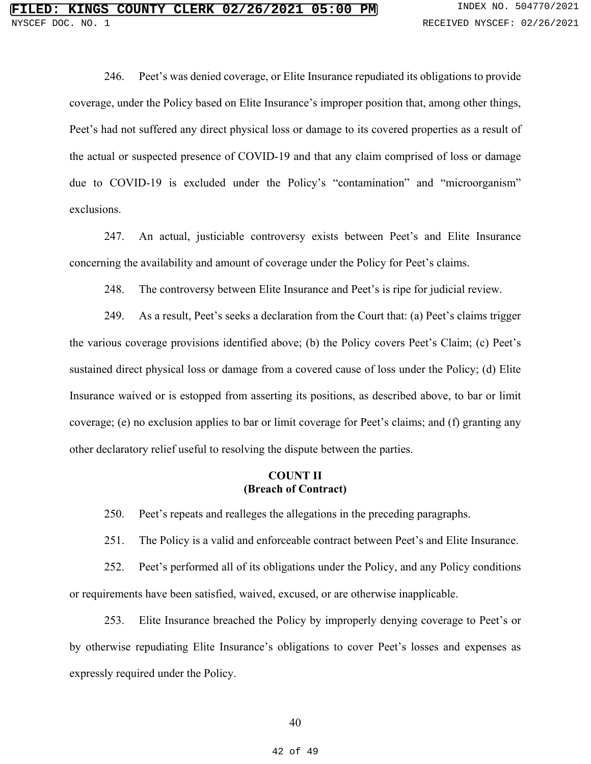246. Peet's was denied coverage, or Elite Insurance repudiated its obligations to provide coverage, under the Policy based on Elite Insurance's improper position that, among other things, Peet's had not suffered any direct physical loss or damage to its covered properties as a result of the actual or suspected presence of COVID-19 and that any claim comprised of loss or damage due to COVID-19 is excluded under the Policy's "contamination" and "microorganism" exclusions.

247. An actual, justiciable controversy exists between Peet's and Elite Insurance concerning the availability and amount of coverage under the Policy for Peet's claims.

248. The controversy between Elite Insurance and Peet's is ripe for judicial review.

249. As a result, Peet's seeks a declaration from the Court that: (a) Peet's claims trigger the various coverage provisions identified above; (b) the Policy covers Peet's Claim; (c) Peet's sustained direct physical loss or damage from a covered cause of loss under the Policy; (d) Elite Insurance waived or is estopped from asserting its positions, as described above, to bar or limit coverage; (e) no exclusion applies to bar or limit coverage for Peet's claims; and (f) granting any other declaratory relief useful to resolving the dispute between the parties.

#### **COUNT II (Breach of Contract)**

250. Peet's repeats and realleges the allegations in the preceding paragraphs.

251. The Policy is a valid and enforceable contract between Peet's and Elite Insurance.

252. Peet's performed all of its obligations under the Policy, and any Policy conditions or requirements have been satisfied, waived, excused, or are otherwise inapplicable.

253. Elite Insurance breached the Policy by improperly denying coverage to Peet's or by otherwise repudiating Elite Insurance's obligations to cover Peet's losses and expenses as expressly required under the Policy.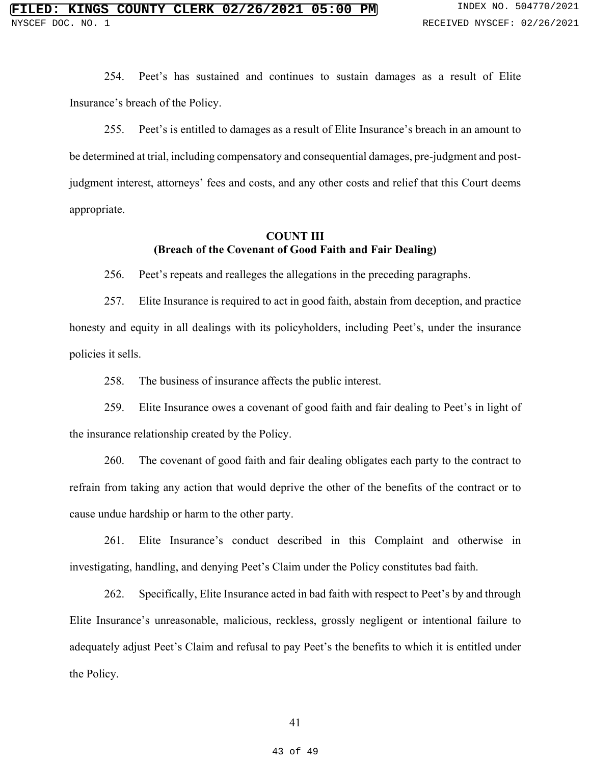254. Peet's has sustained and continues to sustain damages as a result of Elite Insurance's breach of the Policy.

255. Peet's is entitled to damages as a result of Elite Insurance's breach in an amount to be determined at trial, including compensatory and consequential damages, pre-judgment and postjudgment interest, attorneys' fees and costs, and any other costs and relief that this Court deems appropriate.

### **COUNT III (Breach of the Covenant of Good Faith and Fair Dealing)**

256. Peet's repeats and realleges the allegations in the preceding paragraphs.

257. Elite Insurance is required to act in good faith, abstain from deception, and practice honesty and equity in all dealings with its policyholders, including Peet's, under the insurance policies it sells.

258. The business of insurance affects the public interest.

259. Elite Insurance owes a covenant of good faith and fair dealing to Peet's in light of the insurance relationship created by the Policy.

260. The covenant of good faith and fair dealing obligates each party to the contract to refrain from taking any action that would deprive the other of the benefits of the contract or to cause undue hardship or harm to the other party.

261. Elite Insurance's conduct described in this Complaint and otherwise in investigating, handling, and denying Peet's Claim under the Policy constitutes bad faith.

262. Specifically, Elite Insurance acted in bad faith with respect to Peet's by and through Elite Insurance's unreasonable, malicious, reckless, grossly negligent or intentional failure to adequately adjust Peet's Claim and refusal to pay Peet's the benefits to which it is entitled under the Policy.

41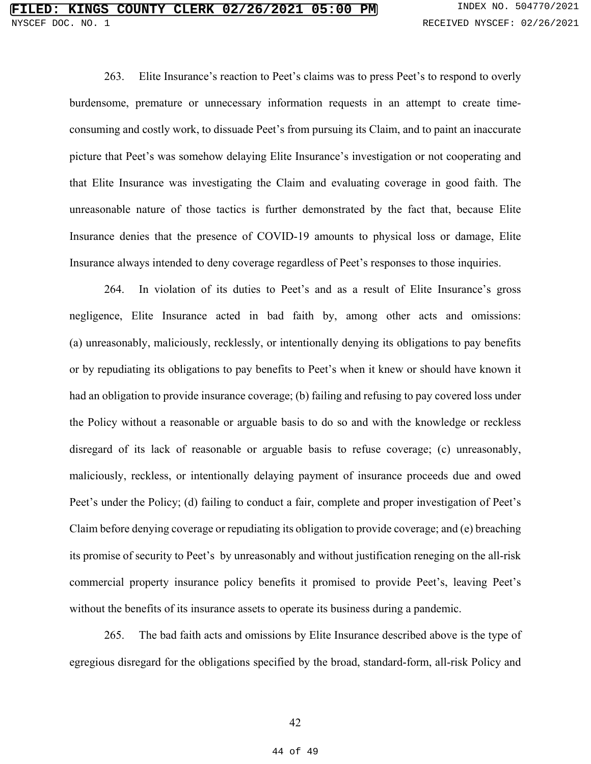263. Elite Insurance's reaction to Peet's claims was to press Peet's to respond to overly burdensome, premature or unnecessary information requests in an attempt to create timeconsuming and costly work, to dissuade Peet's from pursuing its Claim, and to paint an inaccurate picture that Peet's was somehow delaying Elite Insurance's investigation or not cooperating and that Elite Insurance was investigating the Claim and evaluating coverage in good faith. The unreasonable nature of those tactics is further demonstrated by the fact that, because Elite Insurance denies that the presence of COVID-19 amounts to physical loss or damage, Elite Insurance always intended to deny coverage regardless of Peet's responses to those inquiries.

264. In violation of its duties to Peet's and as a result of Elite Insurance's gross negligence, Elite Insurance acted in bad faith by, among other acts and omissions: (a) unreasonably, maliciously, recklessly, or intentionally denying its obligations to pay benefits or by repudiating its obligations to pay benefits to Peet's when it knew or should have known it had an obligation to provide insurance coverage; (b) failing and refusing to pay covered loss under the Policy without a reasonable or arguable basis to do so and with the knowledge or reckless disregard of its lack of reasonable or arguable basis to refuse coverage; (c) unreasonably, maliciously, reckless, or intentionally delaying payment of insurance proceeds due and owed Peet's under the Policy; (d) failing to conduct a fair, complete and proper investigation of Peet's Claim before denying coverage or repudiating its obligation to provide coverage; and (e) breaching its promise of security to Peet's by unreasonably and without justification reneging on the all-risk commercial property insurance policy benefits it promised to provide Peet's, leaving Peet's without the benefits of its insurance assets to operate its business during a pandemic.

265. The bad faith acts and omissions by Elite Insurance described above is the type of egregious disregard for the obligations specified by the broad, standard-form, all-risk Policy and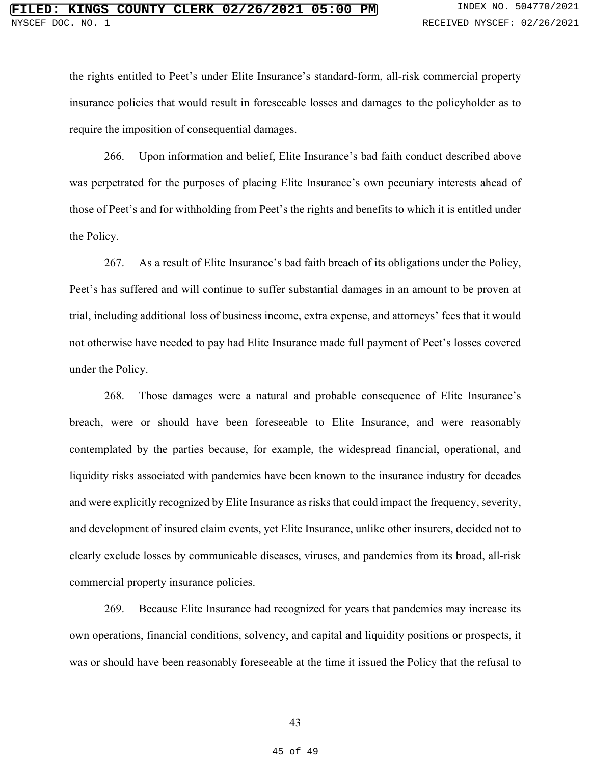the rights entitled to Peet's under Elite Insurance's standard-form, all-risk commercial property insurance policies that would result in foreseeable losses and damages to the policyholder as to require the imposition of consequential damages.

266. Upon information and belief, Elite Insurance's bad faith conduct described above was perpetrated for the purposes of placing Elite Insurance's own pecuniary interests ahead of those of Peet's and for withholding from Peet's the rights and benefits to which it is entitled under the Policy.

267. As a result of Elite Insurance's bad faith breach of its obligations under the Policy, Peet's has suffered and will continue to suffer substantial damages in an amount to be proven at trial, including additional loss of business income, extra expense, and attorneys' fees that it would not otherwise have needed to pay had Elite Insurance made full payment of Peet's losses covered under the Policy.

268. Those damages were a natural and probable consequence of Elite Insurance's breach, were or should have been foreseeable to Elite Insurance, and were reasonably contemplated by the parties because, for example, the widespread financial, operational, and liquidity risks associated with pandemics have been known to the insurance industry for decades and were explicitly recognized by Elite Insurance as risks that could impact the frequency, severity, and development of insured claim events, yet Elite Insurance, unlike other insurers, decided not to clearly exclude losses by communicable diseases, viruses, and pandemics from its broad, all-risk commercial property insurance policies.

269. Because Elite Insurance had recognized for years that pandemics may increase its own operations, financial conditions, solvency, and capital and liquidity positions or prospects, it was or should have been reasonably foreseeable at the time it issued the Policy that the refusal to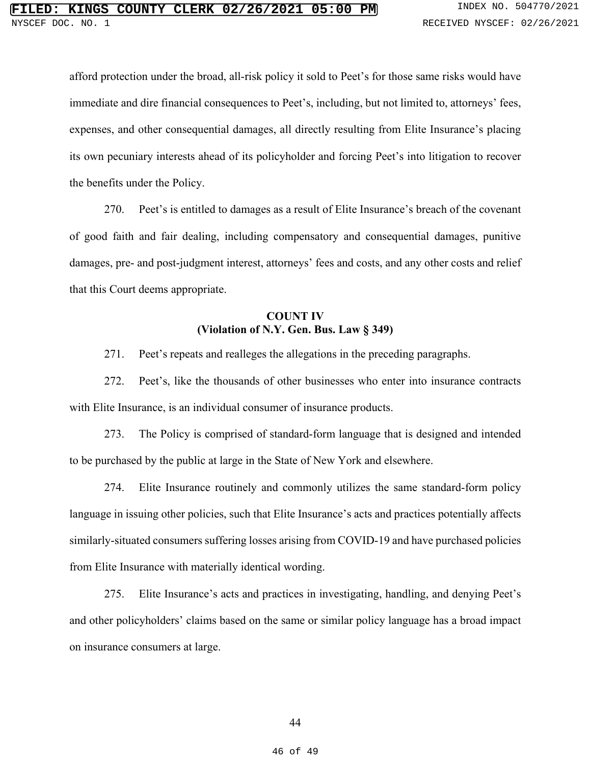afford protection under the broad, all-risk policy it sold to Peet's for those same risks would have immediate and dire financial consequences to Peet's, including, but not limited to, attorneys' fees, expenses, and other consequential damages, all directly resulting from Elite Insurance's placing its own pecuniary interests ahead of its policyholder and forcing Peet's into litigation to recover the benefits under the Policy.

270. Peet's is entitled to damages as a result of Elite Insurance's breach of the covenant of good faith and fair dealing, including compensatory and consequential damages, punitive damages, pre- and post-judgment interest, attorneys' fees and costs, and any other costs and relief that this Court deems appropriate.

# **COUNT IV (Violation of N.Y. Gen. Bus. Law § 349)**

271. Peet's repeats and realleges the allegations in the preceding paragraphs.

272. Peet's, like the thousands of other businesses who enter into insurance contracts with Elite Insurance, is an individual consumer of insurance products.

273. The Policy is comprised of standard-form language that is designed and intended to be purchased by the public at large in the State of New York and elsewhere.

274. Elite Insurance routinely and commonly utilizes the same standard-form policy language in issuing other policies, such that Elite Insurance's acts and practices potentially affects similarly-situated consumers suffering losses arising from COVID-19 and have purchased policies from Elite Insurance with materially identical wording.

275. Elite Insurance's acts and practices in investigating, handling, and denying Peet's and other policyholders' claims based on the same or similar policy language has a broad impact on insurance consumers at large.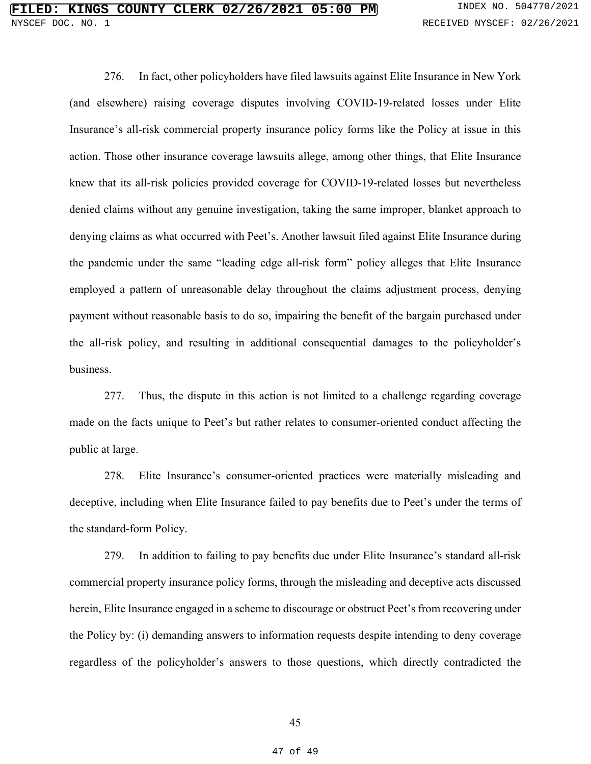276. In fact, other policyholders have filed lawsuits against Elite Insurance in New York (and elsewhere) raising coverage disputes involving COVID-19-related losses under Elite Insurance's all-risk commercial property insurance policy forms like the Policy at issue in this action. Those other insurance coverage lawsuits allege, among other things, that Elite Insurance knew that its all-risk policies provided coverage for COVID-19-related losses but nevertheless denied claims without any genuine investigation, taking the same improper, blanket approach to denying claims as what occurred with Peet's. Another lawsuit filed against Elite Insurance during the pandemic under the same "leading edge all-risk form" policy alleges that Elite Insurance employed a pattern of unreasonable delay throughout the claims adjustment process, denying payment without reasonable basis to do so, impairing the benefit of the bargain purchased under the all-risk policy, and resulting in additional consequential damages to the policyholder's business.

277. Thus, the dispute in this action is not limited to a challenge regarding coverage made on the facts unique to Peet's but rather relates to consumer-oriented conduct affecting the public at large.

278. Elite Insurance's consumer-oriented practices were materially misleading and deceptive, including when Elite Insurance failed to pay benefits due to Peet's under the terms of the standard-form Policy.

279. In addition to failing to pay benefits due under Elite Insurance's standard all-risk commercial property insurance policy forms, through the misleading and deceptive acts discussed herein, Elite Insurance engaged in a scheme to discourage or obstruct Peet's from recovering under the Policy by: (i) demanding answers to information requests despite intending to deny coverage regardless of the policyholder's answers to those questions, which directly contradicted the

45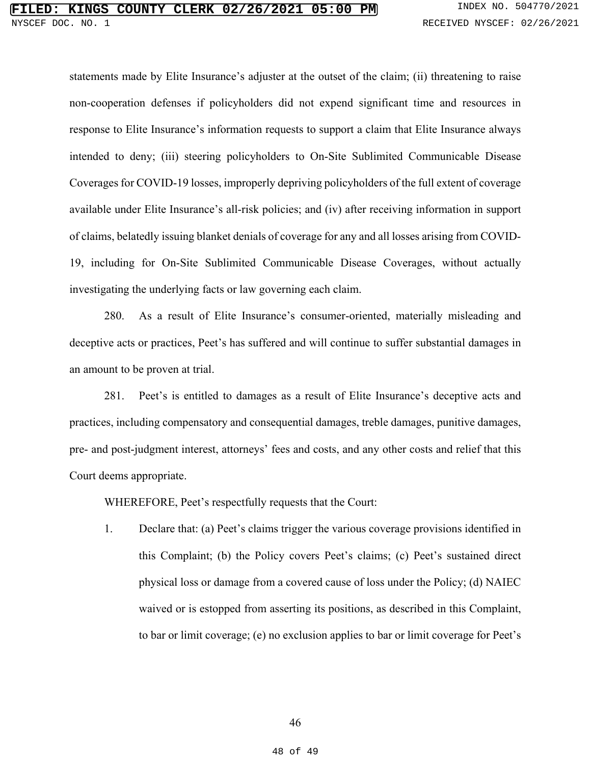# **NGS COUNTY CLERK 02/26/2021 05:00 PM** INDEX NO. 504770/2021 DOC. NO. 1 RECEIVED NYSCEF: 02/26/2021

statements made by Elite Insurance's adjuster at the outset of the claim; (ii) threatening to raise non-cooperation defenses if policyholders did not expend significant time and resources in response to Elite Insurance's information requests to support a claim that Elite Insurance always intended to deny; (iii) steering policyholders to On-Site Sublimited Communicable Disease Coverages for COVID-19 losses, improperly depriving policyholders of the full extent of coverage available under Elite Insurance's all-risk policies; and (iv) after receiving information in support of claims, belatedly issuing blanket denials of coverage for any and all losses arising from COVID-19, including for On-Site Sublimited Communicable Disease Coverages, without actually investigating the underlying facts or law governing each claim.

280. As a result of Elite Insurance's consumer-oriented, materially misleading and deceptive acts or practices, Peet's has suffered and will continue to suffer substantial damages in an amount to be proven at trial.

281. Peet's is entitled to damages as a result of Elite Insurance's deceptive acts and practices, including compensatory and consequential damages, treble damages, punitive damages, pre- and post-judgment interest, attorneys' fees and costs, and any other costs and relief that this Court deems appropriate.

WHEREFORE, Peet's respectfully requests that the Court:

1. Declare that: (a) Peet's claims trigger the various coverage provisions identified in this Complaint; (b) the Policy covers Peet's claims; (c) Peet's sustained direct physical loss or damage from a covered cause of loss under the Policy; (d) NAIEC waived or is estopped from asserting its positions, as described in this Complaint, to bar or limit coverage; (e) no exclusion applies to bar or limit coverage for Peet's